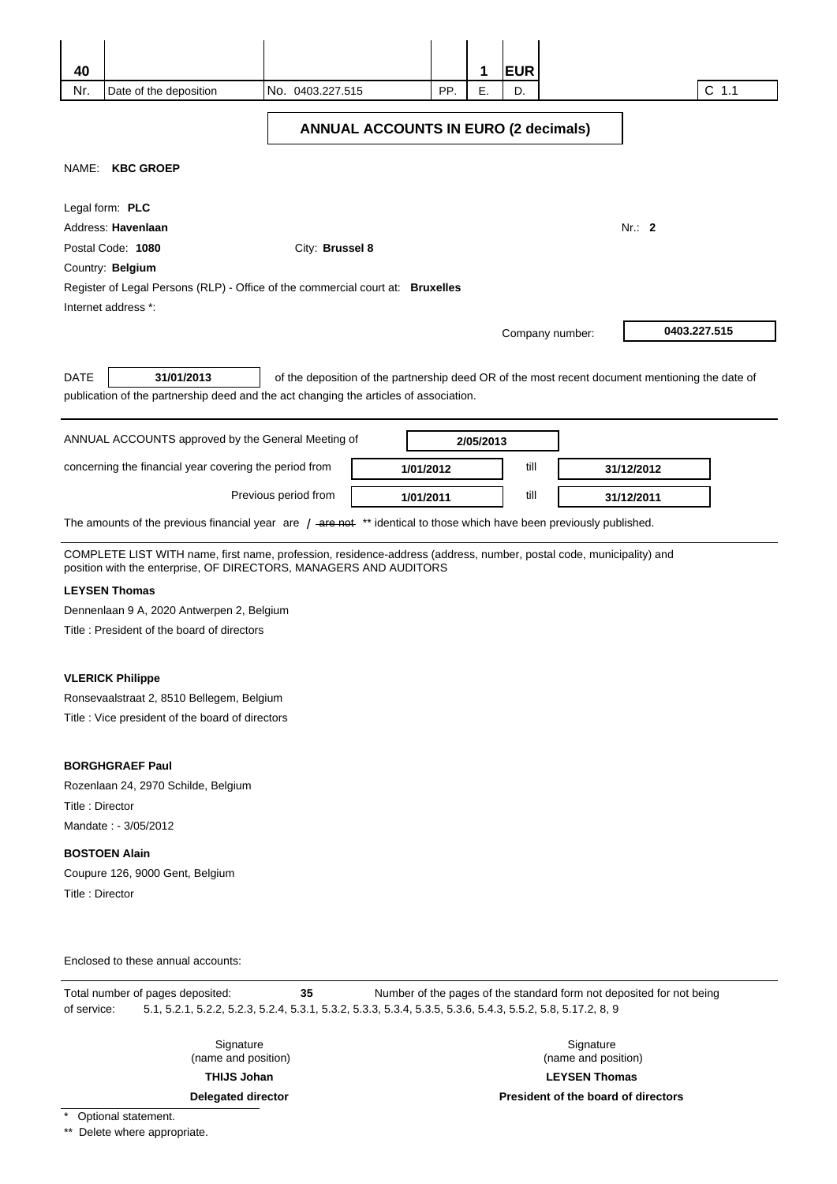| 40              |                                                                                                                                                                                          |                      |           |     | 1         | <b>EUR</b> |                 |                                                                                                 |         |  |
|-----------------|------------------------------------------------------------------------------------------------------------------------------------------------------------------------------------------|----------------------|-----------|-----|-----------|------------|-----------------|-------------------------------------------------------------------------------------------------|---------|--|
| Nr.             | Date of the deposition                                                                                                                                                                   | No. 0403.227.515     |           | PP. | Ε.        | D.         |                 |                                                                                                 | $C$ 1.1 |  |
|                 | <b>ANNUAL ACCOUNTS IN EURO (2 decimals)</b>                                                                                                                                              |                      |           |     |           |            |                 |                                                                                                 |         |  |
|                 | NAME: KBC GROEP                                                                                                                                                                          |                      |           |     |           |            |                 |                                                                                                 |         |  |
|                 | Legal form: PLC                                                                                                                                                                          |                      |           |     |           |            |                 |                                                                                                 |         |  |
|                 | Address: Havenlaan                                                                                                                                                                       |                      |           |     |           |            |                 | Nr.: 2                                                                                          |         |  |
|                 | Postal Code: 1080                                                                                                                                                                        | City: Brussel 8      |           |     |           |            |                 |                                                                                                 |         |  |
|                 | Country: Belgium                                                                                                                                                                         |                      |           |     |           |            |                 |                                                                                                 |         |  |
|                 | Register of Legal Persons (RLP) - Office of the commercial court at: Bruxelles                                                                                                           |                      |           |     |           |            |                 |                                                                                                 |         |  |
|                 | Internet address *:                                                                                                                                                                      |                      |           |     |           |            |                 |                                                                                                 |         |  |
|                 |                                                                                                                                                                                          |                      |           |     |           |            | Company number: | 0403.227.515                                                                                    |         |  |
| <b>DATE</b>     | 31/01/2013<br>publication of the partnership deed and the act changing the articles of association.                                                                                      |                      |           |     |           |            |                 | of the deposition of the partnership deed OR of the most recent document mentioning the date of |         |  |
|                 | ANNUAL ACCOUNTS approved by the General Meeting of                                                                                                                                       |                      |           |     | 2/05/2013 |            |                 |                                                                                                 |         |  |
|                 | concerning the financial year covering the period from                                                                                                                                   |                      | 1/01/2012 |     |           | till       |                 | 31/12/2012                                                                                      |         |  |
|                 |                                                                                                                                                                                          | Previous period from | 1/01/2011 |     |           | till       |                 | 31/12/2011                                                                                      |         |  |
|                 | The amounts of the previous financial year are / -are not ** identical to those which have been previously published.                                                                    |                      |           |     |           |            |                 |                                                                                                 |         |  |
|                 | COMPLETE LIST WITH name, first name, profession, residence-address (address, number, postal code, municipality) and<br>position with the enterprise, OF DIRECTORS, MANAGERS AND AUDITORS |                      |           |     |           |            |                 |                                                                                                 |         |  |
|                 | <b>LEYSEN Thomas</b>                                                                                                                                                                     |                      |           |     |           |            |                 |                                                                                                 |         |  |
|                 | Dennenlaan 9 A, 2020 Antwerpen 2, Belgium                                                                                                                                                |                      |           |     |           |            |                 |                                                                                                 |         |  |
|                 | Title: President of the board of directors                                                                                                                                               |                      |           |     |           |            |                 |                                                                                                 |         |  |
|                 | <b>VLERICK Philippe</b>                                                                                                                                                                  |                      |           |     |           |            |                 |                                                                                                 |         |  |
|                 | Ronsevaalstraat 2, 8510 Bellegem, Belgium                                                                                                                                                |                      |           |     |           |            |                 |                                                                                                 |         |  |
|                 | Title : Vice president of the board of directors                                                                                                                                         |                      |           |     |           |            |                 |                                                                                                 |         |  |
|                 |                                                                                                                                                                                          |                      |           |     |           |            |                 |                                                                                                 |         |  |
|                 | <b>BORGHGRAEF Paul</b>                                                                                                                                                                   |                      |           |     |           |            |                 |                                                                                                 |         |  |
|                 | Rozenlaan 24, 2970 Schilde, Belgium                                                                                                                                                      |                      |           |     |           |            |                 |                                                                                                 |         |  |
| Title: Director |                                                                                                                                                                                          |                      |           |     |           |            |                 |                                                                                                 |         |  |
|                 | Mandate: - 3/05/2012                                                                                                                                                                     |                      |           |     |           |            |                 |                                                                                                 |         |  |
|                 | <b>BOSTOEN Alain</b>                                                                                                                                                                     |                      |           |     |           |            |                 |                                                                                                 |         |  |
|                 | Coupure 126, 9000 Gent, Belgium                                                                                                                                                          |                      |           |     |           |            |                 |                                                                                                 |         |  |
| Title: Director |                                                                                                                                                                                          |                      |           |     |           |            |                 |                                                                                                 |         |  |
|                 |                                                                                                                                                                                          |                      |           |     |           |            |                 |                                                                                                 |         |  |
|                 | Enclosed to these annual accounts:                                                                                                                                                       |                      |           |     |           |            |                 |                                                                                                 |         |  |
| of service:     | Total number of pages deposited:<br>5.1, 5.2.1, 5.2.2, 5.2.3, 5.2.4, 5.3.1, 5.3.2, 5.3.3, 5.3.4, 5.3.5, 5.3.6, 5.4.3, 5.5.2, 5.8, 5.17.2, 8, 9                                           | 35                   |           |     |           |            |                 | Number of the pages of the standard form not deposited for not being                            |         |  |
|                 |                                                                                                                                                                                          |                      |           |     |           |            |                 |                                                                                                 |         |  |

Signature (name and position)

**THIJS Johan** 

**Delegated director** 

Signature (name and position) **LEYSEN Thomas** 

**President of the board of directors** 

\* Optional statement.

\*\* Delete where appropriate.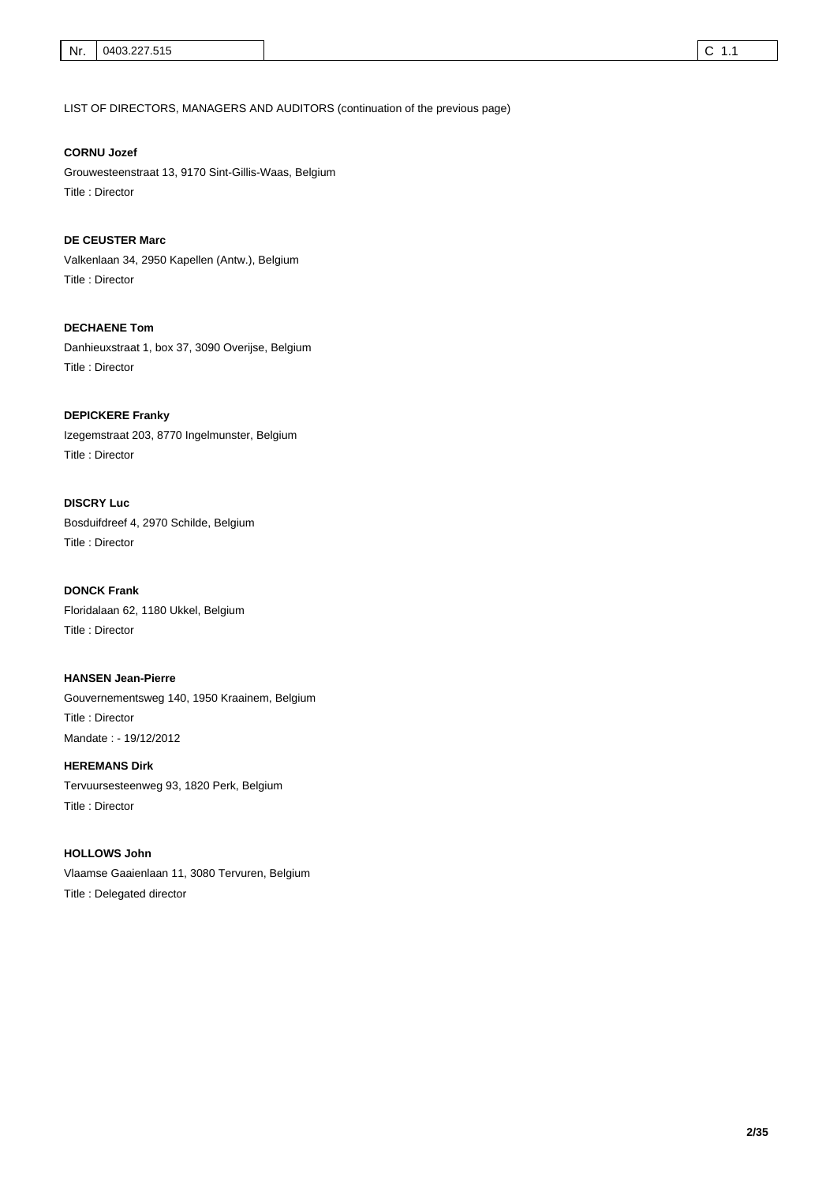LIST OF DIRECTORS, MANAGERS AND AUDITORS (continuation of the previous page)

## **CORNU Jozef**

Grouwesteenstraat 13, 9170 Sint-Gillis-Waas, Belgium Title : Director

Valkenlaan 34, 2950 Kapellen (Antw.), Belgium Title : Director **DE CEUSTER Marc** 

Danhieuxstraat 1, box 37, 3090 Overijse, Belgium Title : Director **DECHAENE Tom** 

Izegemstraat 203, 8770 Ingelmunster, Belgium Title : Director **DEPICKERE Franky** 

Bosduifdreef 4, 2970 Schilde, Belgium Title : Director **DISCRY Luc** 

Floridalaan 62, 1180 Ukkel, Belgium Title : Director **DONCK Frank** 

Gouvernementsweg 140, 1950 Kraainem, Belgium Title : Director **HANSEN Jean-Pierre**  Mandate : - 19/12/2012

Tervuursesteenweg 93, 1820 Perk, Belgium Title : Director **HEREMANS Dirk** 

Vlaamse Gaaienlaan 11, 3080 Tervuren, Belgium Title : Delegated director **HOLLOWS John**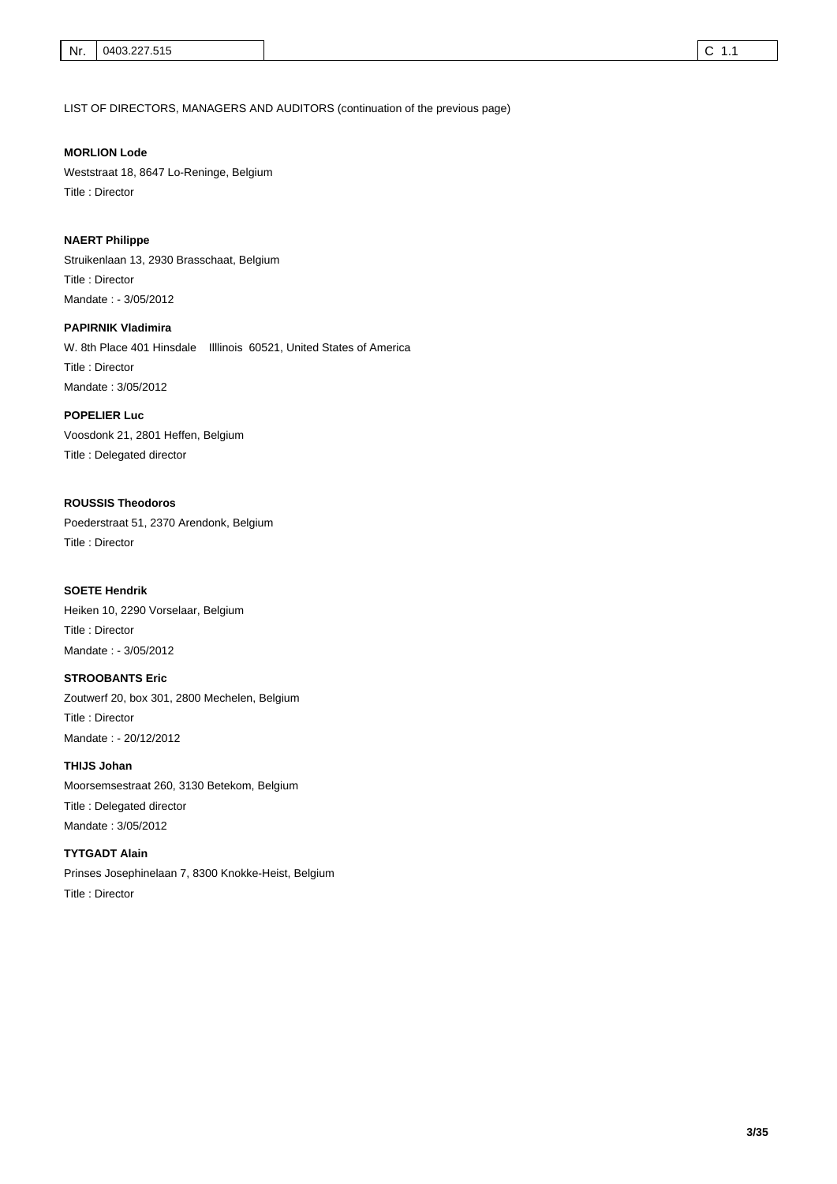LIST OF DIRECTORS, MANAGERS AND AUDITORS (continuation of the previous page)

## **MORLION Lode**

Weststraat 18, 8647 Lo-Reninge, Belgium Title : Director

#### **NAERT Philippe**

Struikenlaan 13, 2930 Brasschaat, Belgium Title : Director Mandate : - 3/05/2012

W. 8th Place 401 Hinsdale Illlinois 60521, United States of America Title : Director **PAPIRNIK Vladimira**  Mandate : 3/05/2012

## **POPELIER Luc**

Voosdonk 21, 2801 Heffen, Belgium Title : Delegated director

## **ROUSSIS Theodoros**

Poederstraat 51, 2370 Arendonk, Belgium Title : Director

#### **SOETE Hendrik**

Heiken 10, 2290 Vorselaar, Belgium Title : Director Mandate : - 3/05/2012

#### **STROOBANTS Eric**

Zoutwerf 20, box 301, 2800 Mechelen, Belgium Title : Director Mandate : - 20/12/2012

#### **THIJS Johan**

Moorsemsestraat 260, 3130 Betekom, Belgium Title : Delegated director Mandate : 3/05/2012

## **TYTGADT Alain**

Prinses Josephinelaan 7, 8300 Knokke-Heist, Belgium

Title : Director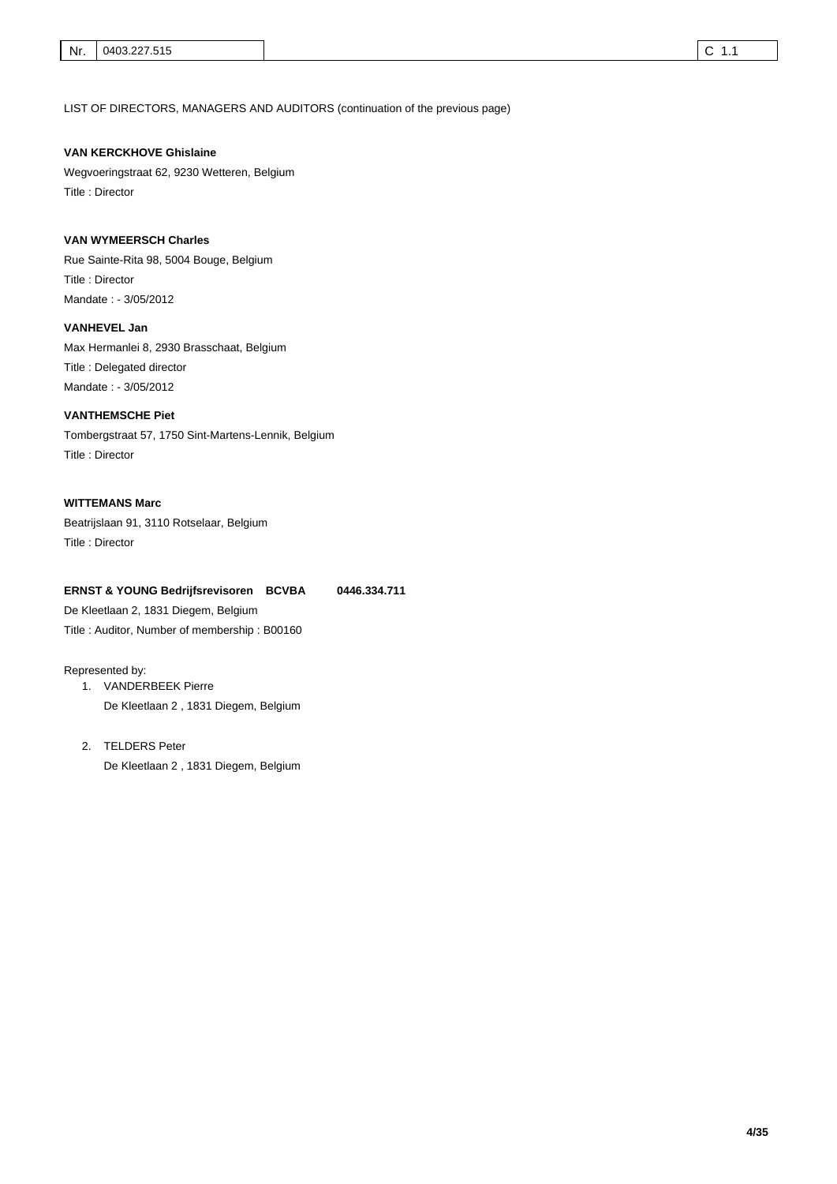LIST OF DIRECTORS, MANAGERS AND AUDITORS (continuation of the previous page)

### **VAN KERCKHOVE Ghislaine**

Wegvoeringstraat 62, 9230 Wetteren, Belgium Title : Director

## **VAN WYMEERSCH Charles**

Rue Sainte-Rita 98, 5004 Bouge, Belgium Title : Director Mandate : - 3/05/2012

Max Hermanlei 8, 2930 Brasschaat, Belgium Title : Delegated director **VANHEVEL Jan**  Mandate : - 3/05/2012

## **VANTHEMSCHE Piet**

Tombergstraat 57, 1750 Sint-Martens-Lennik, Belgium Title : Director

## **WITTEMANS Marc**

Beatrijslaan 91, 3110 Rotselaar, Belgium Title : Director

#### **ERNST & YOUNG Bedrijfsrevisoren BCVBA 0446.334.711**

De Kleetlaan 2, 1831 Diegem, Belgium Title : Auditor, Number of membership : B00160

#### Represented by:

1. VANDERBEEK Pierre De Kleetlaan 2 , 1831 Diegem, Belgium

# 2. TELDERS Peter

De Kleetlaan 2 , 1831 Diegem, Belgium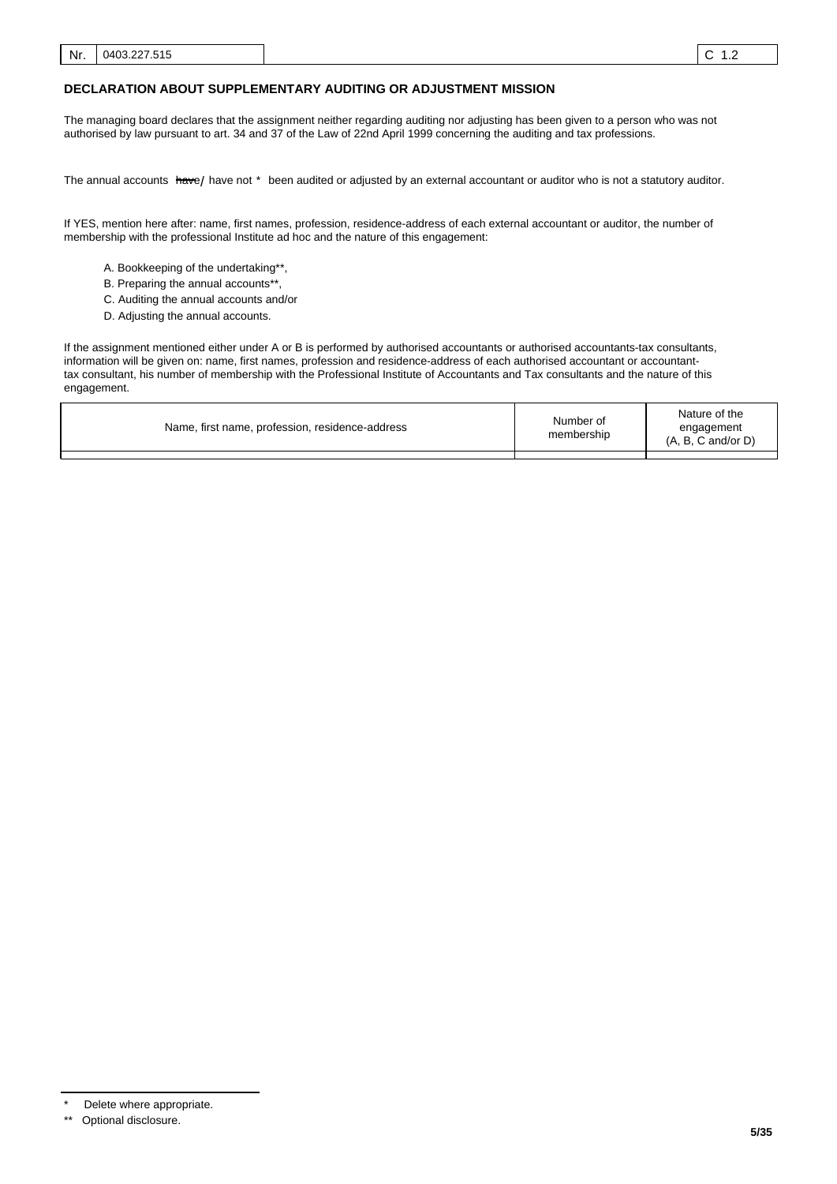### **DECLARATION ABOUT SUPPLEMENTARY AUDITING OR ADJUSTMENT MISSION**

The managing board declares that the assignment neither regarding auditing nor adjusting has been given to a person who was not authorised by law pursuant to art. 34 and 37 of the Law of 22nd April 1999 concerning the auditing and tax professions.

The annual accounts <del>hav</del>e/ have not \* been audited or adjusted by an external accountant or auditor who is not a statutory auditor.

If YES, mention here after: name, first names, profession, residence-address of each external accountant or auditor, the number of membership with the professional Institute ad hoc and the nature of this engagement:

- A. Bookkeeping of the undertaking\*\*,
- B. Preparing the annual accounts\*\*
- C. Auditing the annual accounts and/or
- D. Adjusting the annual accounts.

If the assignment mentioned either under A or B is performed by authorised accountants or authorised accountants-tax consultants, information will be given on: name, first names, profession and residence-address of each authorised accountant or accountanttax consultant, his number of membership with the Professional Institute of Accountants and Tax consultants and the nature of this engagement.

| Name, first name, profession, residence-address | Number of<br>membership | Nature of the<br>engagement<br>$(A, B, C \text{ and/or } D)$ |
|-------------------------------------------------|-------------------------|--------------------------------------------------------------|
|                                                 |                         |                                                              |

Delete where appropriate.

<sup>\*\*</sup> Optional disclosure.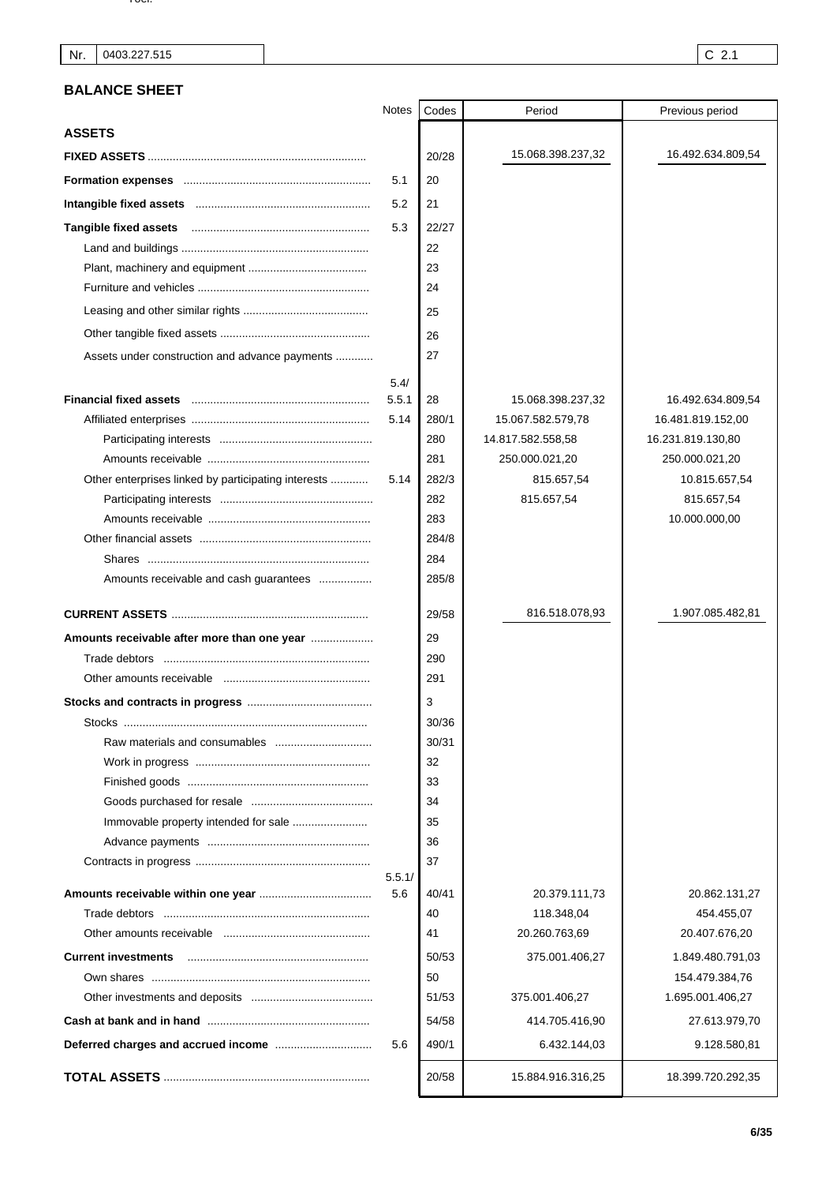# **BALANCE SHEET**

|                                                     | Notes  | Codes | Period            | Previous period   |
|-----------------------------------------------------|--------|-------|-------------------|-------------------|
| <b>ASSETS</b>                                       |        |       |                   |                   |
|                                                     |        | 20/28 | 15.068.398.237,32 | 16.492.634.809,54 |
|                                                     | 5.1    | 20    |                   |                   |
|                                                     | 5.2    | 21    |                   |                   |
|                                                     | 5.3    | 22/27 |                   |                   |
|                                                     |        | 22    |                   |                   |
|                                                     |        | 23    |                   |                   |
|                                                     |        | 24    |                   |                   |
|                                                     |        | 25    |                   |                   |
|                                                     |        | 26    |                   |                   |
| Assets under construction and advance payments      |        | 27    |                   |                   |
|                                                     | 5.4/   |       |                   |                   |
|                                                     | 5.5.1  | 28    | 15.068.398.237,32 | 16.492.634.809,54 |
|                                                     | 5.14   | 280/1 | 15.067.582.579,78 | 16.481.819.152,00 |
|                                                     |        | 280   | 14.817.582.558,58 | 16.231.819.130,80 |
|                                                     |        | 281   | 250.000.021,20    | 250.000.021,20    |
| Other enterprises linked by participating interests | 5.14   | 282/3 | 815.657,54        | 10.815.657,54     |
|                                                     |        | 282   | 815.657,54        | 815.657,54        |
|                                                     |        | 283   |                   | 10.000.000,00     |
|                                                     |        | 284/8 |                   |                   |
|                                                     |        | 284   |                   |                   |
| Amounts receivable and cash guarantees              |        | 285/8 |                   |                   |
|                                                     |        |       |                   |                   |
|                                                     |        | 29/58 | 816.518.078,93    | 1.907.085.482,81  |
| Amounts receivable after more than one year         |        | 29    |                   |                   |
|                                                     |        | 290   |                   |                   |
|                                                     |        | 291   |                   |                   |
|                                                     |        | 3     |                   |                   |
|                                                     |        | 30/36 |                   |                   |
|                                                     |        | 30/31 |                   |                   |
|                                                     |        | 32    |                   |                   |
|                                                     |        | 33    |                   |                   |
|                                                     |        | 34    |                   |                   |
|                                                     |        | 35    |                   |                   |
|                                                     |        | 36    |                   |                   |
|                                                     | 5.5.1/ | 37    |                   |                   |
|                                                     | 5.6    | 40/41 | 20.379.111,73     | 20.862.131,27     |
|                                                     |        | 40    | 118.348,04        | 454.455,07        |
|                                                     |        | 41    | 20.260.763,69     | 20.407.676,20     |
| <b>Current investments</b>                          |        | 50/53 | 375.001.406,27    | 1.849.480.791,03  |
|                                                     |        | 50    |                   | 154.479.384,76    |
|                                                     |        | 51/53 | 375.001.406,27    | 1.695.001.406,27  |
|                                                     |        | 54/58 | 414.705.416,90    | 27.613.979,70     |
|                                                     | 5.6    | 490/1 | 6.432.144,03      | 9.128.580,81      |
|                                                     |        | 20/58 | 15.884.916.316,25 | 18.399.720.292,35 |
|                                                     |        |       |                   |                   |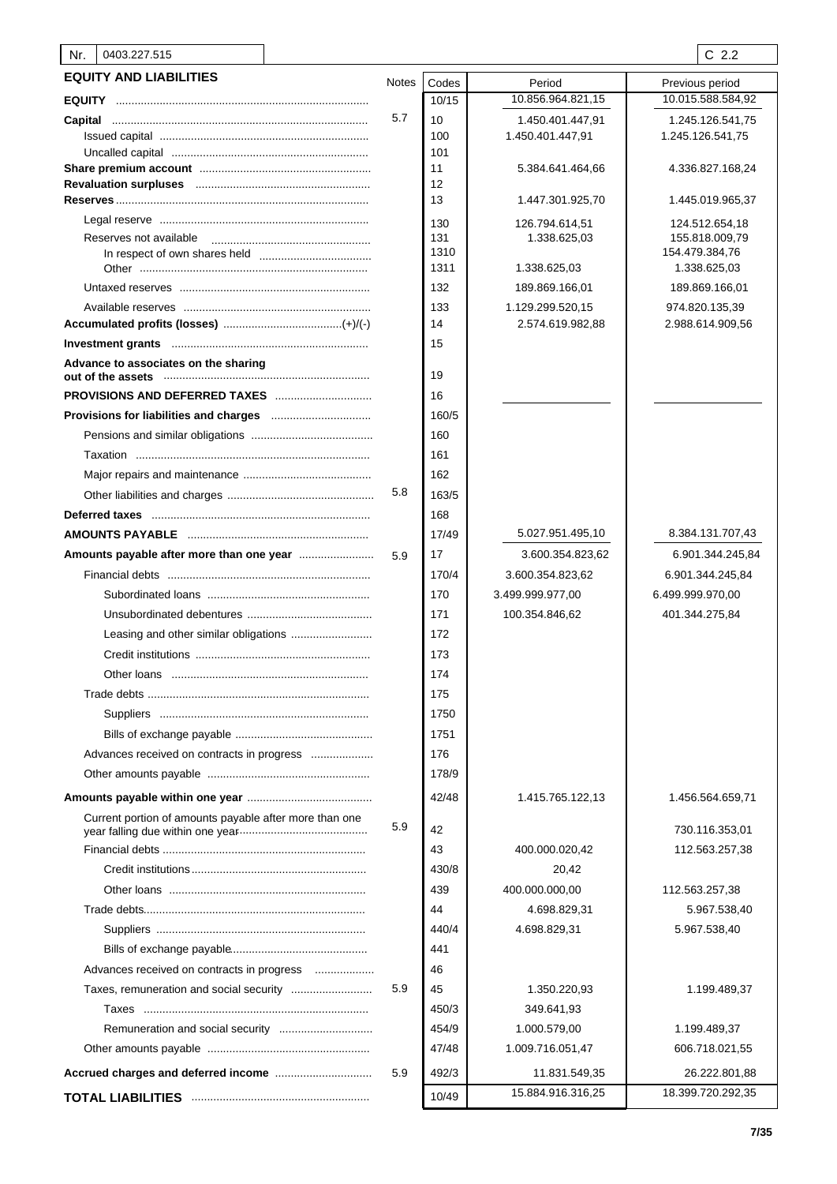| 0403.227.515<br>Nr.                                    |              |            |                                | $C$ 2.2                          |
|--------------------------------------------------------|--------------|------------|--------------------------------|----------------------------------|
| <b>EQUITY AND LIABILITIES</b>                          | <b>Notes</b> | Codes      | Period                         | Previous period                  |
|                                                        |              | 10/15      | 10.856.964.821,15              | 10.015.588.584,92                |
| Capital                                                | 5.7          | 10         | 1.450.401.447,91               | 1.245.126.541,75                 |
|                                                        |              | 100        | 1.450.401.447,91               | 1.245.126.541,75                 |
|                                                        |              | 101        |                                |                                  |
|                                                        |              | 11         | 5.384.641.464,66               | 4.336.827.168,24                 |
|                                                        |              | 12<br>13   | 1.447.301.925,70               | 1.445.019.965,37                 |
|                                                        |              |            |                                |                                  |
| Reserves not available                                 |              | 130<br>131 | 126.794.614,51<br>1.338.625,03 | 124.512.654,18<br>155.818.009,79 |
|                                                        |              | 1310       |                                | 154.479.384,76                   |
|                                                        |              | 1311       | 1.338.625,03                   | 1.338.625,03                     |
|                                                        |              | 132        | 189.869.166,01                 | 189.869.166,01                   |
|                                                        |              | 133        | 1.129.299.520,15               | 974.820.135,39                   |
|                                                        |              | 14         | 2.574.619.982,88               | 2.988.614.909,56                 |
|                                                        |              | 15         |                                |                                  |
| Advance to associates on the sharing                   |              | 19         |                                |                                  |
| <b>PROVISIONS AND DEFERRED TAXES</b>                   |              | 16         |                                |                                  |
|                                                        |              | 160/5      |                                |                                  |
|                                                        |              | 160        |                                |                                  |
|                                                        |              | 161        |                                |                                  |
|                                                        |              | 162        |                                |                                  |
|                                                        | 5.8          | 163/5      |                                |                                  |
|                                                        |              | 168        |                                |                                  |
|                                                        |              | 17/49      | 5.027.951.495,10               | 8.384.131.707,43                 |
|                                                        | 5.9          | 17         | 3.600.354.823,62               | 6.901.344.245,84                 |
|                                                        |              | 170/4      | 3.600.354.823,62               | 6.901.344.245,84                 |
|                                                        |              | 170        | 3.499.999.977,00               | 6.499.999.970,00                 |
|                                                        |              | 171        | 100.354.846,62                 | 401.344.275,84                   |
|                                                        |              | 172        |                                |                                  |
|                                                        |              | 173        |                                |                                  |
|                                                        |              | 174        |                                |                                  |
|                                                        |              | 175        |                                |                                  |
|                                                        |              | 1750       |                                |                                  |
|                                                        |              | 1751       |                                |                                  |
| Advances received on contracts in progress             |              | 176        |                                |                                  |
|                                                        |              | 178/9      |                                |                                  |
|                                                        |              | 42/48      | 1.415.765.122,13               | 1.456.564.659,71                 |
| Current portion of amounts payable after more than one | 5.9          | 42         |                                | 730.116.353,01                   |
|                                                        |              | 43         | 400.000.020,42                 | 112.563.257,38                   |
|                                                        |              | 430/8      | 20,42                          |                                  |
|                                                        |              | 439        | 400.000.000,00                 | 112.563.257,38                   |
|                                                        |              | 44         | 4.698.829,31                   | 5.967.538,40                     |
|                                                        |              | 440/4      | 4.698.829,31                   | 5.967.538,40                     |
|                                                        |              | 441        |                                |                                  |
| Advances received on contracts in progress             |              | 46         |                                |                                  |
| Taxes, remuneration and social security                | 5.9          | 45         | 1.350.220,93                   | 1.199.489,37                     |
|                                                        |              | 450/3      | 349.641,93                     |                                  |
|                                                        |              | 454/9      | 1.000.579,00                   | 1.199.489,37                     |
|                                                        |              | 47/48      | 1.009.716.051,47               | 606.718.021,55                   |
|                                                        | 5.9          | 492/3      | 11.831.549,35                  | 26.222.801,88                    |
|                                                        |              | 10/49      | 15.884.916.316,25              | 18.399.720.292,35                |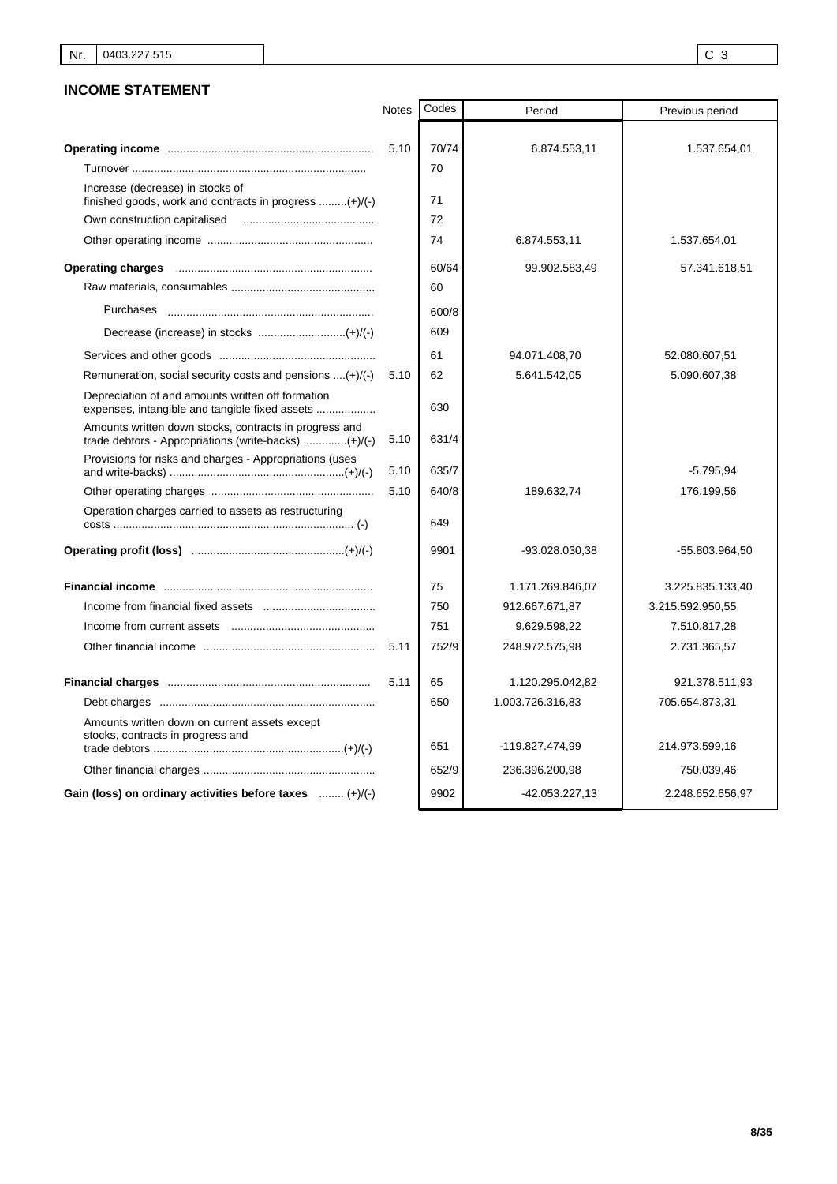## **INCOME STATEMENT**

|                                                                                                                | <b>Notes</b> | Codes | Period           | Previous period  |
|----------------------------------------------------------------------------------------------------------------|--------------|-------|------------------|------------------|
|                                                                                                                |              |       |                  |                  |
|                                                                                                                | 5.10         | 70/74 | 6.874.553,11     | 1.537.654,01     |
|                                                                                                                |              | 70    |                  |                  |
| Increase (decrease) in stocks of<br>finished goods, work and contracts in progress $(+)/(-)$                   |              | 71    |                  |                  |
| Own construction capitalised                                                                                   |              | 72    |                  |                  |
|                                                                                                                |              | 74    | 6.874.553,11     | 1.537.654,01     |
|                                                                                                                |              | 60/64 | 99.902.583,49    | 57.341.618,51    |
|                                                                                                                |              | 60    |                  |                  |
| Purchases                                                                                                      |              | 600/8 |                  |                  |
|                                                                                                                |              | 609   |                  |                  |
|                                                                                                                |              | 61    | 94.071.408,70    | 52.080.607,51    |
| Remuneration, social security costs and pensions $(+) / (-)$                                                   | 5.10         | 62    | 5.641.542,05     | 5.090.607,38     |
| Depreciation of and amounts written off formation<br>expenses, intangible and tangible fixed assets            |              | 630   |                  |                  |
| Amounts written down stocks, contracts in progress and<br>trade debtors - Appropriations (write-backs) (+)/(-) | 5.10         | 631/4 |                  |                  |
| Provisions for risks and charges - Appropriations (uses                                                        | 5.10         | 635/7 |                  | $-5.795,94$      |
|                                                                                                                | 5.10         | 640/8 | 189.632,74       | 176.199,56       |
| Operation charges carried to assets as restructuring                                                           |              | 649   |                  |                  |
|                                                                                                                |              | 9901  | -93.028.030,38   | -55.803.964,50   |
|                                                                                                                |              | 75    | 1.171.269.846,07 | 3.225.835.133,40 |
|                                                                                                                |              | 750   | 912.667.671,87   | 3.215.592.950,55 |
|                                                                                                                |              | 751   | 9.629.598,22     | 7.510.817,28     |
|                                                                                                                | 5.11         | 752/9 | 248.972.575,98   | 2.731.365,57     |
|                                                                                                                | 5.11         | 65    | 1.120.295.042,82 | 921.378.511,93   |
|                                                                                                                |              | 650   | 1.003.726.316,83 | 705.654.873,31   |
| Amounts written down on current assets except<br>stocks, contracts in progress and                             |              | 651   | -119.827.474,99  | 214.973.599,16   |
|                                                                                                                |              | 652/9 | 236.396.200,98   | 750.039,46       |
| Gain (loss) on ordinary activities before taxes  (+)/(-)                                                       |              | 9902  | $-42.053.227,13$ | 2.248.652.656,97 |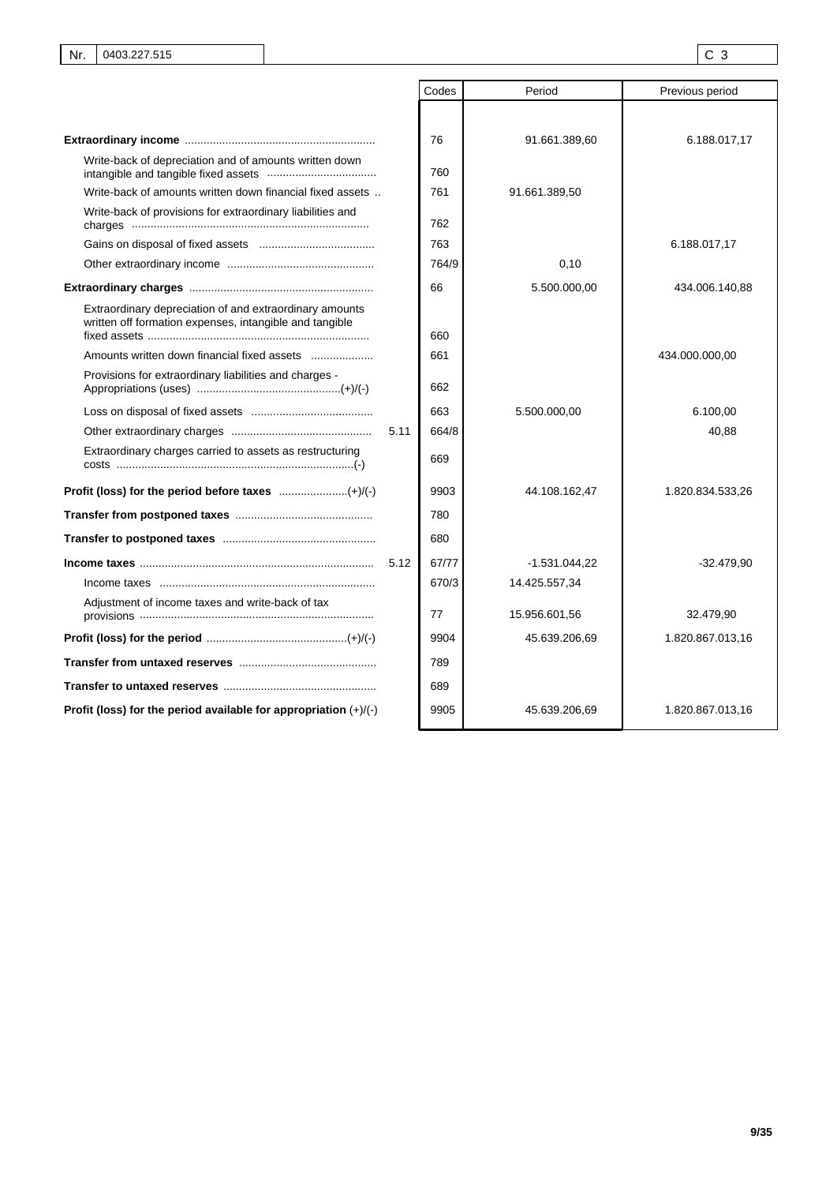|                                                                                                                    | Codes | Period          | Previous period  |
|--------------------------------------------------------------------------------------------------------------------|-------|-----------------|------------------|
|                                                                                                                    |       |                 |                  |
|                                                                                                                    | 76    | 91.661.389,60   | 6.188.017,17     |
| Write-back of depreciation and of amounts written down                                                             | 760   |                 |                  |
| Write-back of amounts written down financial fixed assets                                                          | 761   | 91.661.389,50   |                  |
| Write-back of provisions for extraordinary liabilities and                                                         | 762   |                 |                  |
|                                                                                                                    | 763   |                 | 6.188.017,17     |
|                                                                                                                    | 764/9 | 0,10            |                  |
|                                                                                                                    | 66    | 5.500.000,00    | 434.006.140,88   |
| Extraordinary depreciation of and extraordinary amounts<br>written off formation expenses, intangible and tangible | 660   |                 |                  |
| Amounts written down financial fixed assets                                                                        | 661   |                 | 434.000.000,00   |
| Provisions for extraordinary liabilities and charges -                                                             | 662   |                 |                  |
|                                                                                                                    | 663   | 5.500.000,00    | 6.100,00         |
| 5.11                                                                                                               | 664/8 |                 | 40,88            |
| Extraordinary charges carried to assets as restructuring                                                           | 669   |                 |                  |
|                                                                                                                    | 9903  | 44.108.162,47   | 1.820.834.533,26 |
|                                                                                                                    | 780   |                 |                  |
|                                                                                                                    | 680   |                 |                  |
| 5.12                                                                                                               | 67/77 | $-1.531.044,22$ | $-32.479,90$     |
|                                                                                                                    | 670/3 | 14.425.557,34   |                  |
| Adjustment of income taxes and write-back of tax                                                                   | 77    | 15.956.601,56   | 32.479,90        |
|                                                                                                                    | 9904  | 45.639.206,69   | 1.820.867.013,16 |
|                                                                                                                    | 789   |                 |                  |
|                                                                                                                    | 689   |                 |                  |
| Profit (loss) for the period available for appropriation $(+)/(-)$                                                 | 9905  | 45.639.206,69   | 1.820.867.013,16 |

I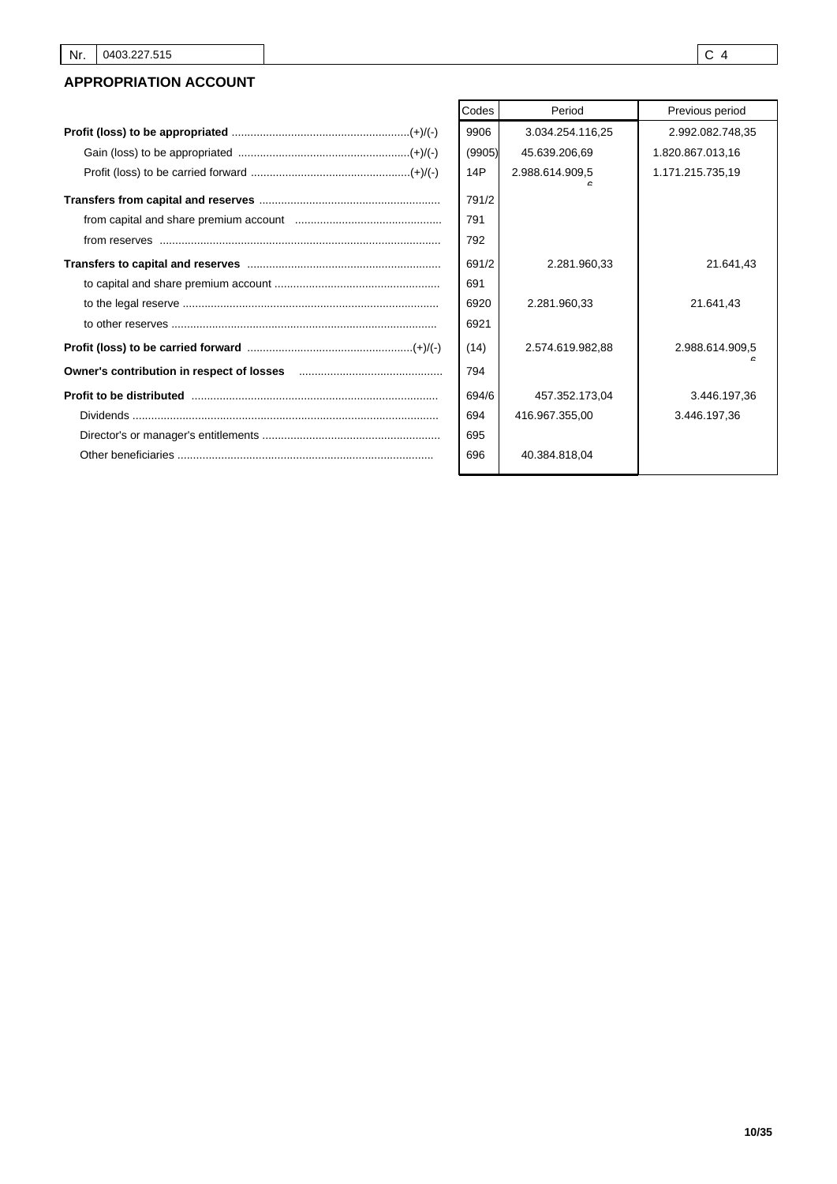# **APPROPRIATION ACCOUNT**

| 9906   |
|--------|
| (9905) |
| 14P    |
| 791/2  |
| 791    |
| 792    |
| 691/2  |
| 691    |
| 6920   |
| 6921   |
| (14)   |
| 794    |
| 694/6  |
| 694    |
| 695    |
| 696    |
|        |

| Codes  | Period           | Previous period  |
|--------|------------------|------------------|
|        |                  |                  |
| 9906   | 3.034.254.116,25 | 2.992.082.748,35 |
| (9905) | 45.639.206,69    | 1.820.867.013,16 |
| 14P    | 2.988.614.909,5  | 1.171.215.735,19 |
| 791/2  |                  |                  |
| 791    |                  |                  |
| 792    |                  |                  |
| 691/2  | 2.281.960,33     | 21.641.43        |
| 691    |                  |                  |
| 6920   | 2.281.960,33     | 21.641,43        |
| 6921   |                  |                  |
| (14)   | 2.574.619.982,88 | 2.988.614.909,5  |
| 794    |                  |                  |
| 694/6  | 457.352.173,04   | 3.446.197,36     |
| 694    | 416.967.355,00   | 3.446.197,36     |
| 695    |                  |                  |
| 696    | 40.384.818,04    |                  |
|        |                  |                  |

ı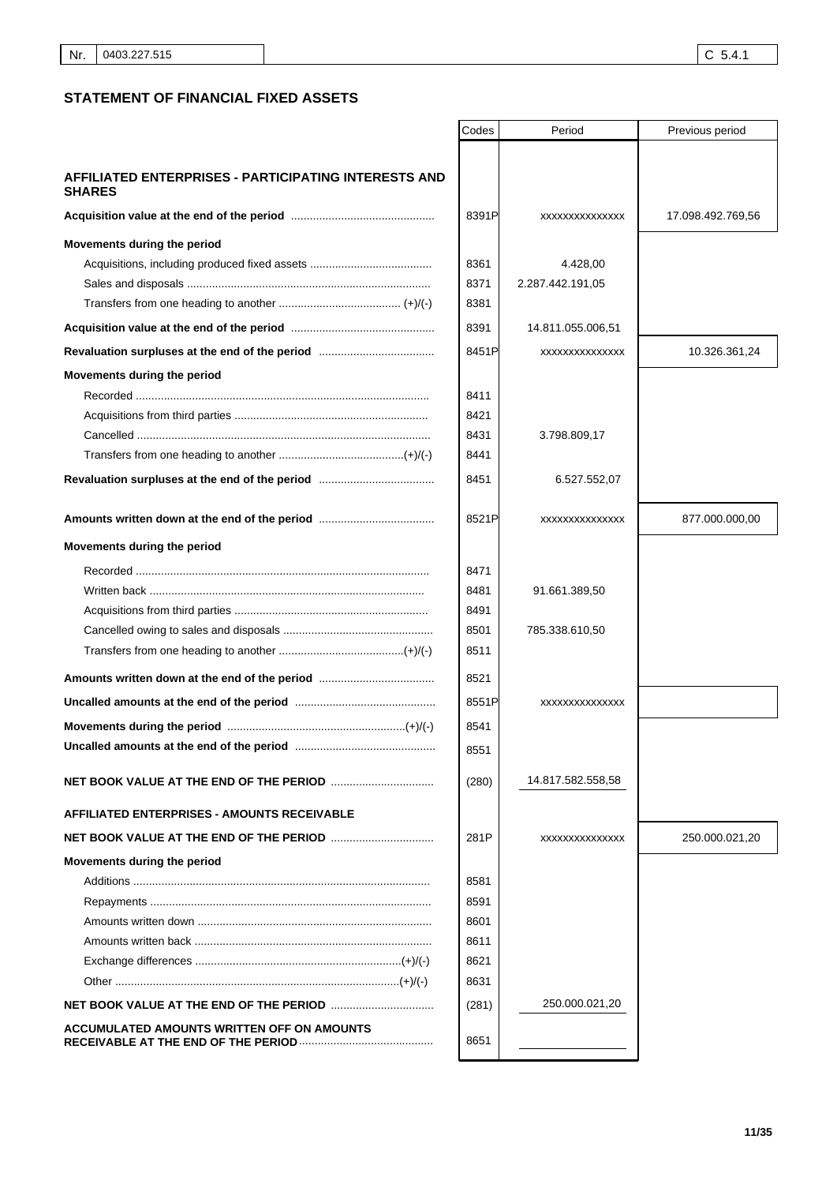## **STATEMENT OF FINANCIAL FIXED ASSETS**

|                                                                       | Codes | Period            | Previous period   |
|-----------------------------------------------------------------------|-------|-------------------|-------------------|
|                                                                       |       |                   |                   |
| AFFILIATED ENTERPRISES - PARTICIPATING INTERESTS AND<br><b>SHARES</b> |       |                   |                   |
|                                                                       | 8391P | XXXXXXXXXXXXXX    | 17.098.492.769,56 |
| Movements during the period                                           |       |                   |                   |
|                                                                       | 8361  | 4.428.00          |                   |
|                                                                       | 8371  | 2.287.442.191,05  |                   |
|                                                                       | 8381  |                   |                   |
|                                                                       | 8391  | 14.811.055.006,51 |                   |
|                                                                       | 8451P | XXXXXXXXXXXXXX    | 10.326.361,24     |
| Movements during the period                                           |       |                   |                   |
|                                                                       | 8411  |                   |                   |
|                                                                       | 8421  |                   |                   |
|                                                                       | 8431  | 3.798.809,17      |                   |
|                                                                       | 8441  |                   |                   |
|                                                                       | 8451  | 6.527.552,07      |                   |
|                                                                       | 8521P | XXXXXXXXXXXXXX    | 877.000.000,00    |
| Movements during the period                                           |       |                   |                   |
|                                                                       | 8471  |                   |                   |
|                                                                       | 8481  | 91.661.389,50     |                   |
|                                                                       | 8491  |                   |                   |
|                                                                       | 8501  | 785.338.610,50    |                   |
|                                                                       | 8511  |                   |                   |
|                                                                       | 8521  |                   |                   |
|                                                                       | 8551P | XXXXXXXXXXXXXX    |                   |
|                                                                       | 8541  |                   |                   |
| Uncalled amounts at the end of the period                             | 8551  |                   |                   |
|                                                                       | (280) | 14.817.582.558,58 |                   |
| <b>AFFILIATED ENTERPRISES - AMOUNTS RECEIVABLE</b>                    |       |                   |                   |
|                                                                       | 281P  | XXXXXXXXXXXXXX    | 250.000.021,20    |
| Movements during the period                                           |       |                   |                   |
|                                                                       | 8581  |                   |                   |
|                                                                       | 8591  |                   |                   |
|                                                                       | 8601  |                   |                   |
|                                                                       | 8611  |                   |                   |
|                                                                       | 8621  |                   |                   |
|                                                                       | 8631  |                   |                   |
|                                                                       | (281) | 250.000.021,20    |                   |
| ACCUMULATED AMOUNTS WRITTEN OFF ON AMOUNTS                            | 8651  |                   |                   |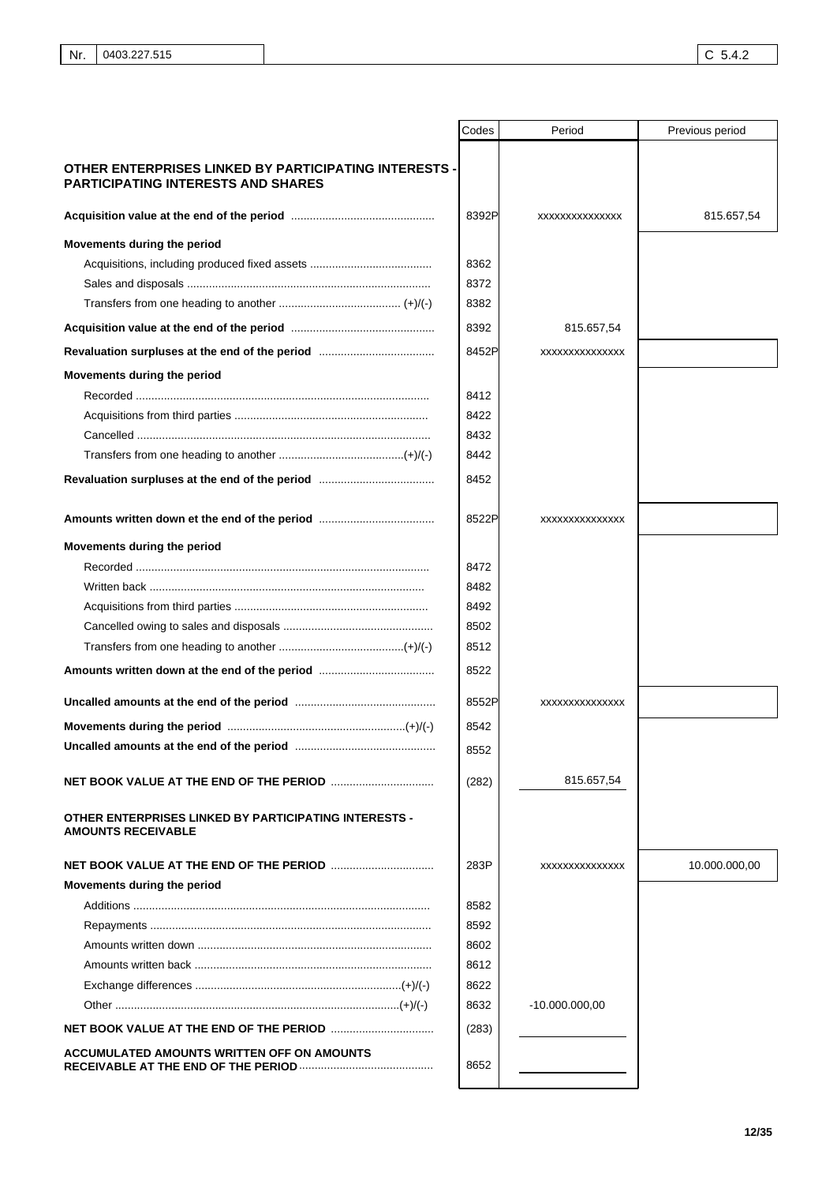|                                                                                           | Codes | Period           | Previous period |
|-------------------------------------------------------------------------------------------|-------|------------------|-----------------|
| OTHER ENTERPRISES LINKED BY PARTICIPATING INTERESTS -                                     |       |                  |                 |
| <b>PARTICIPATING INTERESTS AND SHARES</b>                                                 |       |                  |                 |
|                                                                                           | 8392P | XXXXXXXXXXXXXX   | 815.657,54      |
| Movements during the period                                                               |       |                  |                 |
|                                                                                           | 8362  |                  |                 |
|                                                                                           | 8372  |                  |                 |
|                                                                                           | 8382  |                  |                 |
|                                                                                           | 8392  | 815.657,54       |                 |
|                                                                                           | 8452P | XXXXXXXXXXXXXX   |                 |
| Movements during the period                                                               |       |                  |                 |
|                                                                                           | 8412  |                  |                 |
|                                                                                           | 8422  |                  |                 |
|                                                                                           | 8432  |                  |                 |
|                                                                                           | 8442  |                  |                 |
|                                                                                           | 8452  |                  |                 |
|                                                                                           | 8522P | XXXXXXXXXXXXXX   |                 |
| Movements during the period                                                               |       |                  |                 |
|                                                                                           | 8472  |                  |                 |
|                                                                                           | 8482  |                  |                 |
|                                                                                           | 8492  |                  |                 |
|                                                                                           | 8502  |                  |                 |
|                                                                                           | 8512  |                  |                 |
|                                                                                           | 8522  |                  |                 |
|                                                                                           | 8552P | XXXXXXXXXXXXXX   |                 |
|                                                                                           | 8542  |                  |                 |
|                                                                                           | 8552  |                  |                 |
|                                                                                           | (282) | 815.657,54       |                 |
| <b>OTHER ENTERPRISES LINKED BY PARTICIPATING INTERESTS -</b><br><b>AMOUNTS RECEIVABLE</b> |       |                  |                 |
|                                                                                           | 283P  | XXXXXXXXXXXXXX   | 10.000.000,00   |
| Movements during the period                                                               |       |                  |                 |
|                                                                                           | 8582  |                  |                 |
|                                                                                           | 8592  |                  |                 |
|                                                                                           | 8602  |                  |                 |
|                                                                                           | 8612  |                  |                 |
|                                                                                           | 8622  |                  |                 |
|                                                                                           | 8632  | $-10.000.000,00$ |                 |
|                                                                                           | (283) |                  |                 |
| ACCUMULATED AMOUNTS WRITTEN OFF ON AMOUNTS                                                |       |                  |                 |
|                                                                                           | 8652  |                  |                 |
|                                                                                           |       |                  |                 |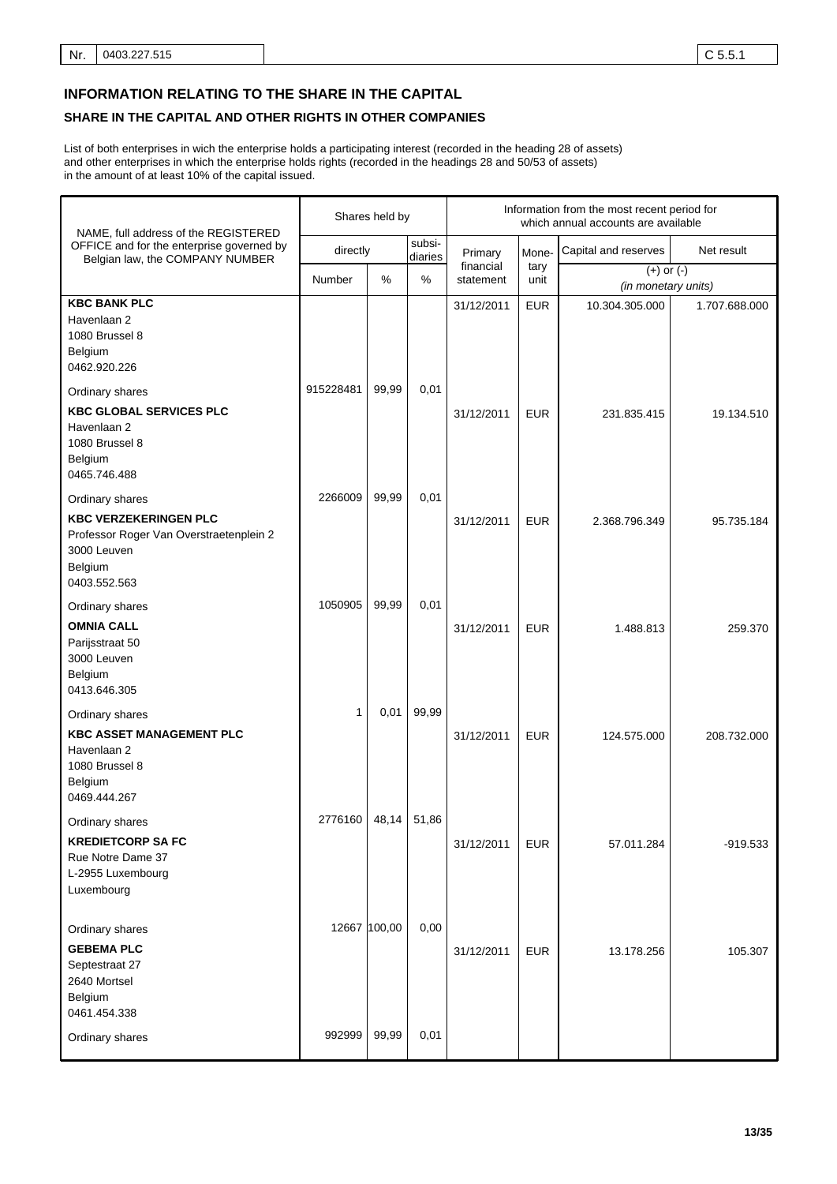## **INFORMATION RELATING TO THE SHARE IN THE CAPITAL**

## **SHARE IN THE CAPITAL AND OTHER RIGHTS IN OTHER COMPANIES**

List of both enterprises in wich the enterprise holds a participating interest (recorded in the heading 28 of assets) and other enterprises in which the enterprise holds rights (recorded in the headings 28 and 50/53 of assets) in the amount of at least 10% of the capital issued.

| NAME, full address of the REGISTERED                                                                                                 | Shares held by         |       |                   | Information from the most recent period for<br>which annual accounts are available |              |                                       |               |  |
|--------------------------------------------------------------------------------------------------------------------------------------|------------------------|-------|-------------------|------------------------------------------------------------------------------------|--------------|---------------------------------------|---------------|--|
| OFFICE and for the enterprise governed by<br>Belgian law, the COMPANY NUMBER                                                         | directly               |       | subsi-<br>diaries | Primary                                                                            | Mone-        | Capital and reserves                  | Net result    |  |
|                                                                                                                                      | Number                 | %     | %                 | financial<br>statement                                                             | tary<br>unit | $(+)$ or $(-)$<br>(in monetary units) |               |  |
| <b>KBC BANK PLC</b><br>Havenlaan 2<br>1080 Brussel 8<br>Belgium<br>0462.920.226                                                      |                        |       |                   | 31/12/2011                                                                         | <b>EUR</b>   | 10.304.305.000                        | 1.707.688.000 |  |
| Ordinary shares<br><b>KBC GLOBAL SERVICES PLC</b><br>Havenlaan 2<br>1080 Brussel 8<br>Belgium<br>0465.746.488                        | 915228481              | 99,99 | 0,01              | 31/12/2011                                                                         | <b>EUR</b>   | 231.835.415                           | 19.134.510    |  |
| Ordinary shares<br><b>KBC VERZEKERINGEN PLC</b><br>Professor Roger Van Overstraetenplein 2<br>3000 Leuven<br>Belgium<br>0403.552.563 | 2266009                | 99,99 | 0,01              | 31/12/2011                                                                         | <b>EUR</b>   | 2.368.796.349                         | 95.735.184    |  |
| Ordinary shares<br><b>OMNIA CALL</b><br>Parijsstraat 50<br>3000 Leuven<br>Belgium<br>0413.646.305                                    | 1050905                | 99,99 | 0,01              | 31/12/2011                                                                         | <b>EUR</b>   | 1.488.813                             | 259.370       |  |
| Ordinary shares<br><b>KBC ASSET MANAGEMENT PLC</b><br>Havenlaan 2<br>1080 Brussel 8<br>Belgium<br>0469.444.267                       | 1                      | 0,01  | 99,99             | 31/12/2011                                                                         | <b>EUR</b>   | 124.575.000                           | 208.732.000   |  |
| Ordinary shares<br><b>KREDIETCORP SA FC</b><br>Rue Notre Dame 37<br>L-2955 Luxembourg<br>Luxembourg                                  | 2776160                | 48,14 | 51,86             | 31/12/2011                                                                         | <b>EUR</b>   | 57.011.284                            | $-919.533$    |  |
| Ordinary shares<br><b>GEBEMA PLC</b><br>Septestraat 27<br>2640 Mortsel<br>Belgium<br>0461.454.338<br>Ordinary shares                 | 12667 100,00<br>992999 | 99,99 | 0,00<br>0,01      | 31/12/2011                                                                         | <b>EUR</b>   | 13.178.256                            | 105.307       |  |
|                                                                                                                                      |                        |       |                   |                                                                                    |              |                                       |               |  |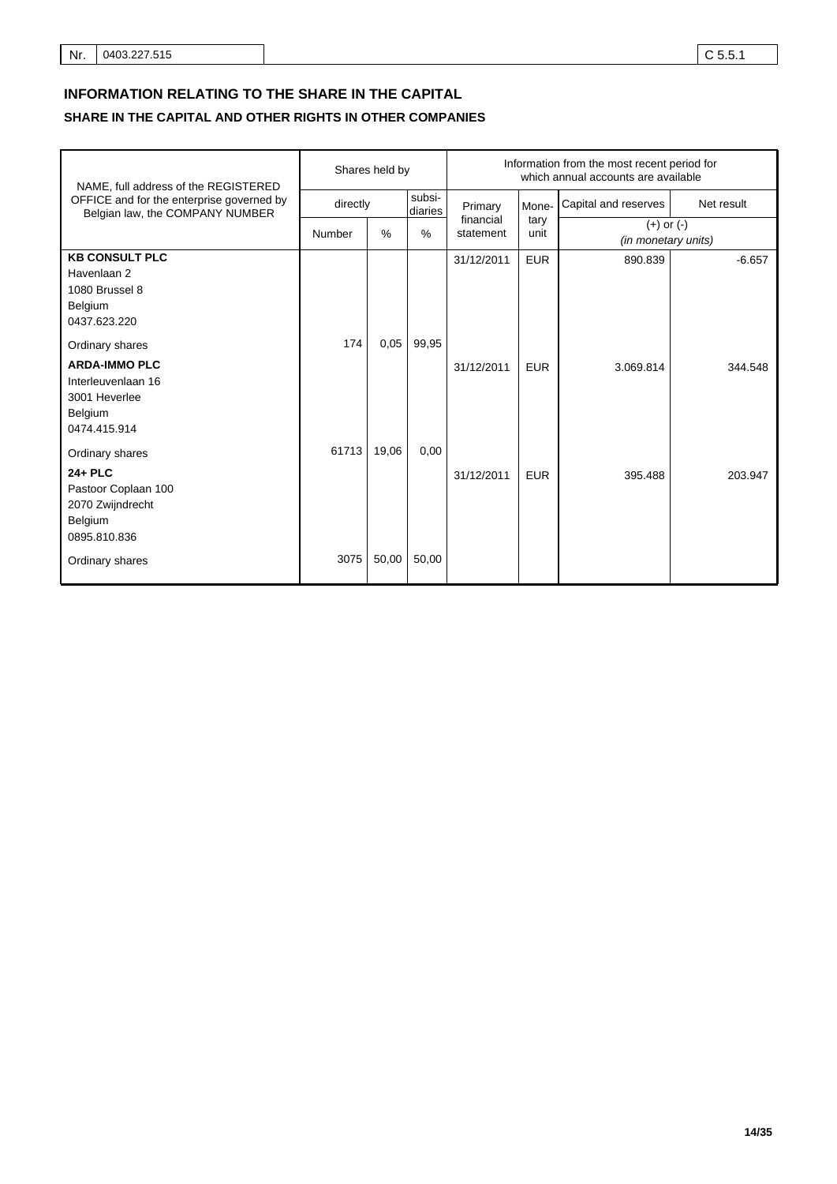# **INFORMATION RELATING TO THE SHARE IN THE CAPITAL**

# **SHARE IN THE CAPITAL AND OTHER RIGHTS IN OTHER COMPANIES**

| NAME, full address of the REGISTERED                                                                      | Shares held by |       |                   | Information from the most recent period for<br>which annual accounts are available |              |                                       |            |
|-----------------------------------------------------------------------------------------------------------|----------------|-------|-------------------|------------------------------------------------------------------------------------|--------------|---------------------------------------|------------|
| OFFICE and for the enterprise governed by<br>Belgian law, the COMPANY NUMBER                              | directly       |       | subsi-<br>diaries | Primary                                                                            | Mone-        | Capital and reserves                  | Net result |
|                                                                                                           | Number         | $\%$  | $\%$              | financial<br>statement                                                             | tary<br>unit | $(+)$ or $(-)$<br>(in monetary units) |            |
| <b>KB CONSULT PLC</b><br>Havenlaan 2<br>1080 Brussel 8<br>Belgium<br>0437.623.220                         |                |       |                   | 31/12/2011                                                                         | <b>EUR</b>   | 890.839                               | $-6.657$   |
| Ordinary shares<br><b>ARDA-IMMO PLC</b><br>Interleuvenlaan 16<br>3001 Heverlee<br>Belgium<br>0474.415.914 | 174            | 0,05  | 99,95             | 31/12/2011                                                                         | <b>EUR</b>   | 3.069.814                             | 344.548    |
| Ordinary shares<br>24+ PLC<br>Pastoor Coplaan 100<br>2070 Zwijndrecht<br>Belgium<br>0895.810.836          | 61713          | 19,06 | 0,00              | 31/12/2011                                                                         | <b>EUR</b>   | 395.488                               | 203.947    |
| Ordinary shares                                                                                           | 3075           | 50,00 | 50,00             |                                                                                    |              |                                       |            |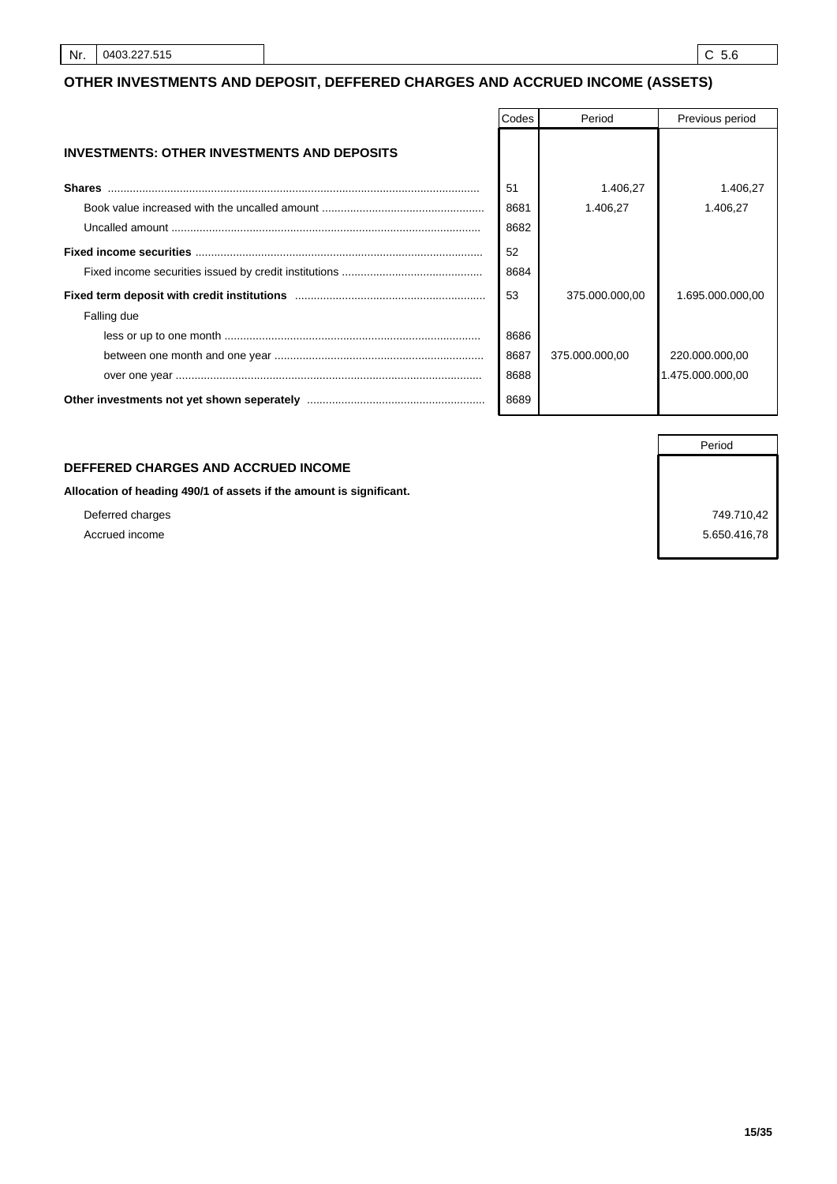## **OTHER INVESTMENTS AND DEPOSIT, DEFFERED CHARGES AND ACCRUED INCOME (ASSETS)**

|                                                    | Codes | Period         | Previous period  |
|----------------------------------------------------|-------|----------------|------------------|
| <b>INVESTMENTS: OTHER INVESTMENTS AND DEPOSITS</b> |       |                |                  |
| <b>Shares</b>                                      | 51    | 1.406,27       | 1.406,27         |
|                                                    | 8681  | 1.406.27       | 1.406,27         |
|                                                    | 8682  |                |                  |
|                                                    | 52    |                |                  |
|                                                    | 8684  |                |                  |
|                                                    | 53    | 375,000,000,00 | 1.695.000.000,00 |
| Falling due                                        |       |                |                  |
|                                                    | 8686  |                |                  |
|                                                    | 8687  | 375,000,000,00 | 220.000.000,00   |
|                                                    | 8688  |                | 1.475.000.000.00 |
|                                                    | 8689  |                |                  |

## **DEFFERED CHARGES AND ACCRUED INCOME**

**Allocation of heading 490/1 of assets if the amount is significant.**

Deferred charges 749.710,42 Accrued income 5.650.416,78

Period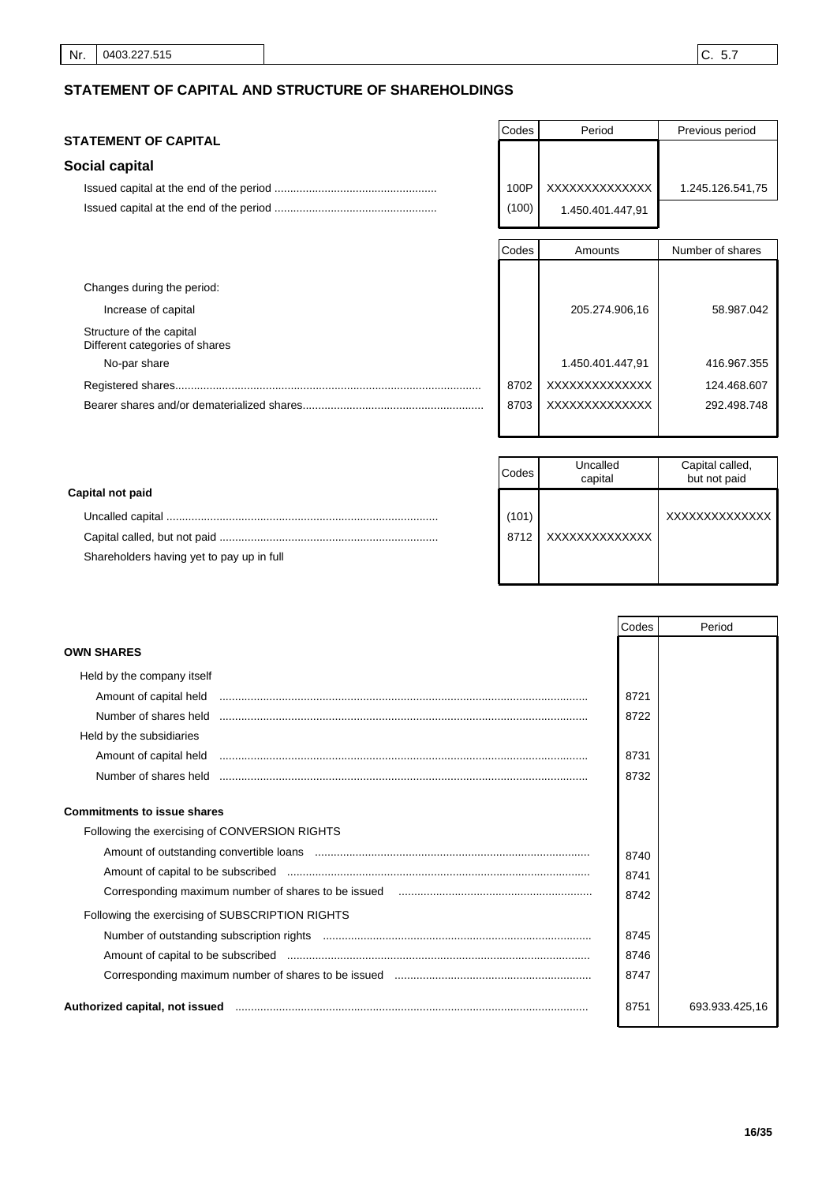# **STATEMENT OF CAPITAL AND STRUCTURE OF SHAREHOLDINGS**

## **STATEMENT OF CAPITAL**

## **Social capital**

| Codes | Period           | Previous period  |
|-------|------------------|------------------|
|       |                  |                  |
|       |                  |                  |
| 100P  | XXXXXXXXXXXXX    | 1.245.126.541,75 |
| (100) | 1.450.401.447,91 |                  |

|                                                            | Codes | Amounts          | Number of shares |
|------------------------------------------------------------|-------|------------------|------------------|
|                                                            |       |                  |                  |
| Changes during the period:                                 |       |                  |                  |
| Increase of capital                                        |       | 205.274.906,16   | 58.987.042       |
| Structure of the capital<br>Different categories of shares |       |                  |                  |
| No-par share                                               |       | 1.450.401.447,91 | 416.967.355      |
|                                                            | 8702  | XXXXXXXXXXXXXX   | 124.468.607      |
|                                                            | 8703  | XXXXXXXXXXXXXX   | 292.498.748      |
|                                                            |       |                  |                  |

|                                           | Codes | Uncalled<br>capital | Capital called,<br>but not paid |
|-------------------------------------------|-------|---------------------|---------------------------------|
| Capital not paid                          |       |                     |                                 |
|                                           | (101) |                     | XXXXXXXXXXXXXX                  |
|                                           | 8712  | XXXXXXXXXXXXXX      |                                 |
| Shareholders having yet to pay up in full |       |                     |                                 |
|                                           |       |                     |                                 |

|                                                 | Codes | Period         |
|-------------------------------------------------|-------|----------------|
| <b>OWN SHARES</b>                               |       |                |
| Held by the company itself                      |       |                |
|                                                 | 8721  |                |
|                                                 | 8722  |                |
| Held by the subsidiaries                        |       |                |
|                                                 | 8731  |                |
| Number of shares held                           | 8732  |                |
| <b>Commitments to issue shares</b>              |       |                |
| Following the exercising of CONVERSION RIGHTS   |       |                |
|                                                 | 8740  |                |
|                                                 | 8741  |                |
|                                                 | 8742  |                |
| Following the exercising of SUBSCRIPTION RIGHTS |       |                |
|                                                 | 8745  |                |
|                                                 | 8746  |                |
|                                                 | 8747  |                |
| Authorized capital, not issued                  | 8751  | 693.933.425,16 |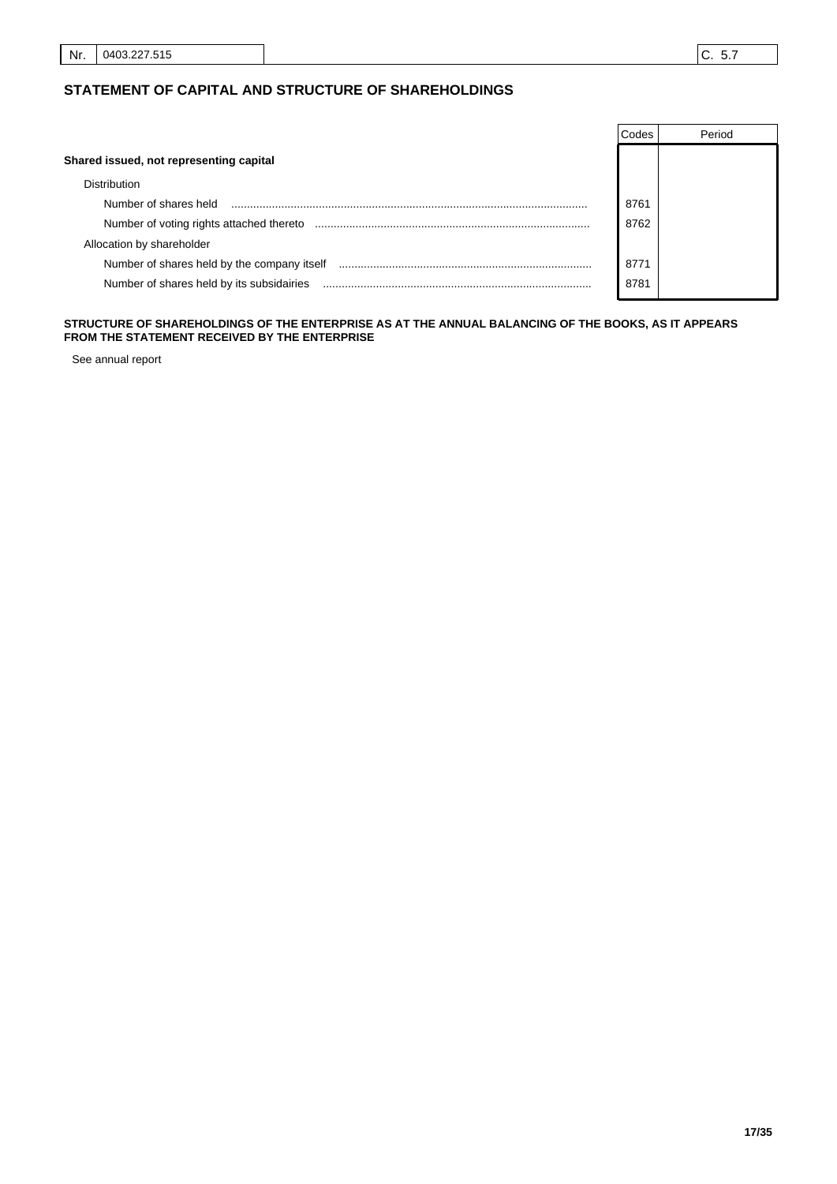## **STATEMENT OF CAPITAL AND STRUCTURE OF SHAREHOLDINGS**

|                                             | Codes | Period |
|---------------------------------------------|-------|--------|
| Shared issued, not representing capital     |       |        |
| <b>Distribution</b>                         |       |        |
| Number of shares held                       | 8761  |        |
| Number of voting rights attached thereto    | 8762  |        |
| Allocation by shareholder                   |       |        |
| Number of shares held by the company itself | 8771  |        |
| Number of shares held by its subsidairies   | 8781  |        |

## **STRUCTURE OF SHAREHOLDINGS OF THE ENTERPRISE AS AT THE ANNUAL BALANCING OF THE BOOKS, AS IT APPEARS FROM THE STATEMENT RECEIVED BY THE ENTERPRISE**

See annual report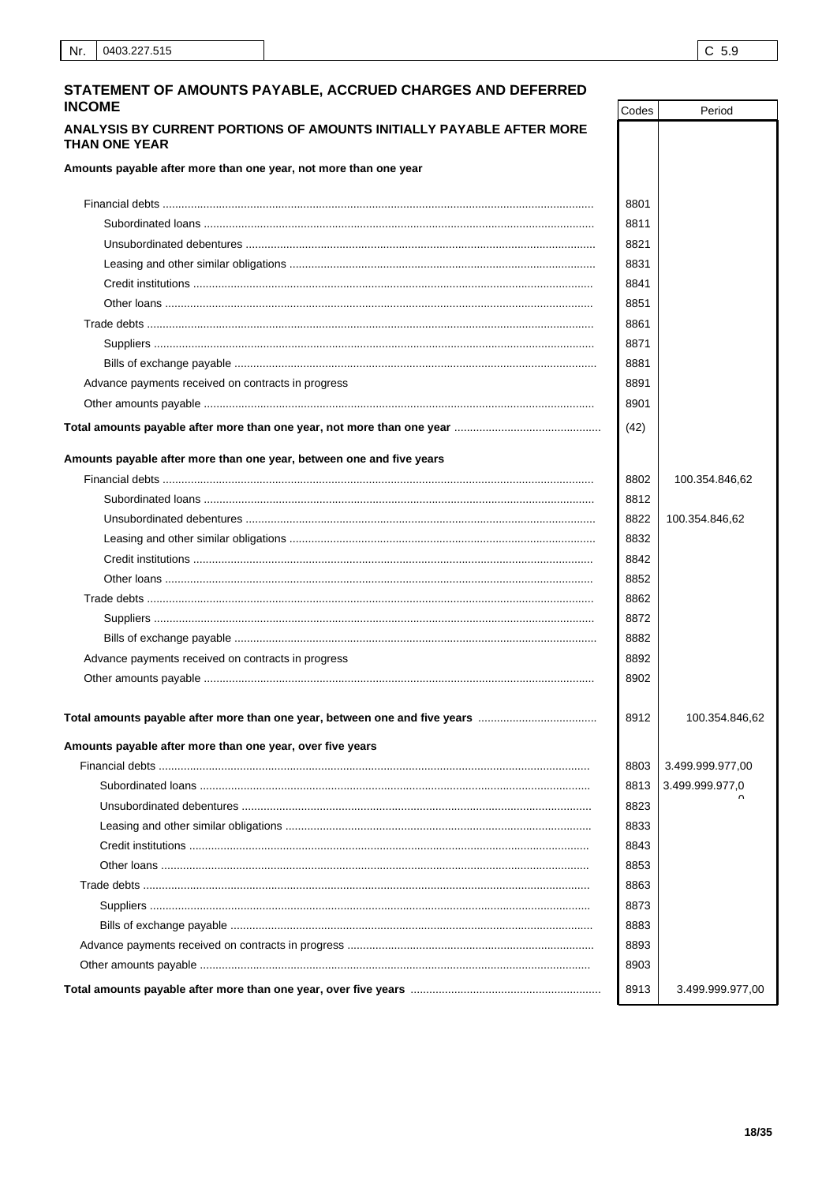| STATEMENT OF AMOUNTS PAYABLE, ACCRUED CHARGES AND DEFERRED<br><b>INCOME</b>                                                                          | Codes | Period           |
|------------------------------------------------------------------------------------------------------------------------------------------------------|-------|------------------|
| ANALYSIS BY CURRENT PORTIONS OF AMOUNTS INITIALLY PAYABLE AFTER MORE                                                                                 |       |                  |
| <b>THAN ONE YEAR</b>                                                                                                                                 |       |                  |
| Amounts payable after more than one year, not more than one year                                                                                     |       |                  |
|                                                                                                                                                      | 8801  |                  |
|                                                                                                                                                      | 8811  |                  |
|                                                                                                                                                      | 8821  |                  |
|                                                                                                                                                      | 8831  |                  |
|                                                                                                                                                      | 8841  |                  |
|                                                                                                                                                      | 8851  |                  |
|                                                                                                                                                      | 8861  |                  |
|                                                                                                                                                      | 8871  |                  |
|                                                                                                                                                      | 8881  |                  |
| Advance payments received on contracts in progress                                                                                                   | 8891  |                  |
|                                                                                                                                                      | 8901  |                  |
|                                                                                                                                                      | (42)  |                  |
| Amounts payable after more than one year, between one and five years                                                                                 |       |                  |
|                                                                                                                                                      | 8802  | 100.354.846,62   |
|                                                                                                                                                      | 8812  |                  |
|                                                                                                                                                      | 8822  | 100.354.846,62   |
|                                                                                                                                                      | 8832  |                  |
|                                                                                                                                                      | 8842  |                  |
|                                                                                                                                                      | 8852  |                  |
|                                                                                                                                                      | 8862  |                  |
|                                                                                                                                                      | 8872  |                  |
|                                                                                                                                                      | 8882  |                  |
| Advance payments received on contracts in progress                                                                                                   | 8892  |                  |
|                                                                                                                                                      | 8902  |                  |
|                                                                                                                                                      | 8912  | 100.354.846,62   |
| Total amounts payable after more than one year, between one and five years ………………………………<br>Amounts payable after more than one year, over five years |       |                  |
|                                                                                                                                                      | 8803  | 3.499.999.977,00 |
|                                                                                                                                                      | 8813  | 3.499.999.977,0  |
|                                                                                                                                                      | 8823  |                  |
|                                                                                                                                                      | 8833  |                  |
|                                                                                                                                                      | 8843  |                  |
|                                                                                                                                                      | 8853  |                  |
|                                                                                                                                                      | 8863  |                  |
|                                                                                                                                                      | 8873  |                  |
|                                                                                                                                                      | 8883  |                  |
|                                                                                                                                                      | 8893  |                  |
|                                                                                                                                                      | 8903  |                  |
|                                                                                                                                                      | 8913  |                  |
|                                                                                                                                                      |       | 3.499.999.977,00 |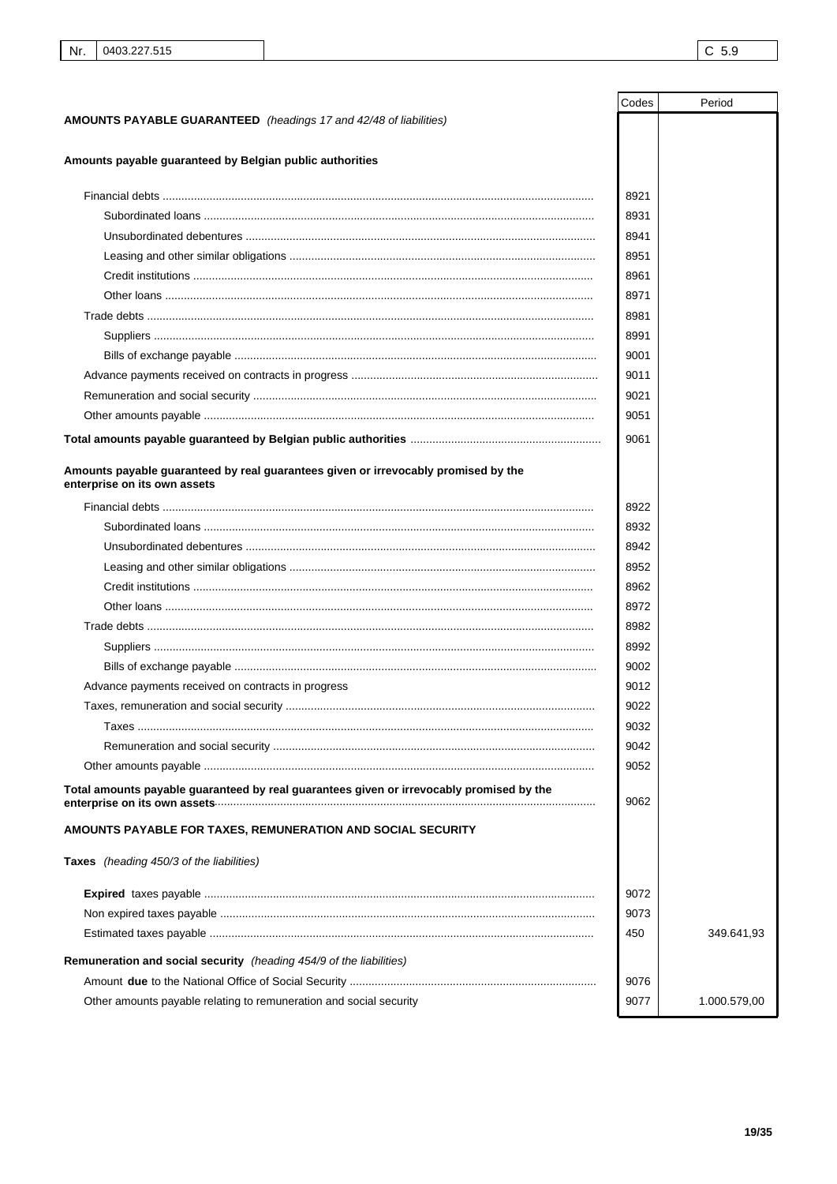|                                                                                                                    | Codes | Period       |
|--------------------------------------------------------------------------------------------------------------------|-------|--------------|
| <b>AMOUNTS PAYABLE GUARANTEED</b> (headings 17 and 42/48 of liabilities)                                           |       |              |
|                                                                                                                    |       |              |
| Amounts payable guaranteed by Belgian public authorities                                                           |       |              |
|                                                                                                                    | 8921  |              |
|                                                                                                                    | 8931  |              |
|                                                                                                                    | 8941  |              |
|                                                                                                                    | 8951  |              |
|                                                                                                                    | 8961  |              |
|                                                                                                                    | 8971  |              |
|                                                                                                                    | 8981  |              |
|                                                                                                                    | 8991  |              |
|                                                                                                                    | 9001  |              |
|                                                                                                                    | 9011  |              |
|                                                                                                                    | 9021  |              |
|                                                                                                                    | 9051  |              |
|                                                                                                                    | 9061  |              |
| Amounts payable guaranteed by real guarantees given or irrevocably promised by the<br>enterprise on its own assets |       |              |
|                                                                                                                    | 8922  |              |
|                                                                                                                    | 8932  |              |
|                                                                                                                    | 8942  |              |
|                                                                                                                    | 8952  |              |
|                                                                                                                    | 8962  |              |
|                                                                                                                    | 8972  |              |
|                                                                                                                    | 8982  |              |
|                                                                                                                    | 8992  |              |
|                                                                                                                    | 9002  |              |
| Advance payments received on contracts in progress                                                                 | 9012  |              |
|                                                                                                                    | 9022  |              |
|                                                                                                                    | 9032  |              |
|                                                                                                                    | 9042  |              |
|                                                                                                                    | 9052  |              |
| Total amounts payable guaranteed by real guarantees given or irrevocably promised by the                           | 9062  |              |
| AMOUNTS PAYABLE FOR TAXES, REMUNERATION AND SOCIAL SECURITY                                                        |       |              |
| Taxes (heading 450/3 of the liabilities)                                                                           |       |              |
|                                                                                                                    | 9072  |              |
|                                                                                                                    | 9073  |              |
|                                                                                                                    | 450   | 349.641,93   |
| Remuneration and social security (heading 454/9 of the liabilities)                                                |       |              |
|                                                                                                                    | 9076  |              |
| Other amounts payable relating to remuneration and social security                                                 | 9077  | 1.000.579,00 |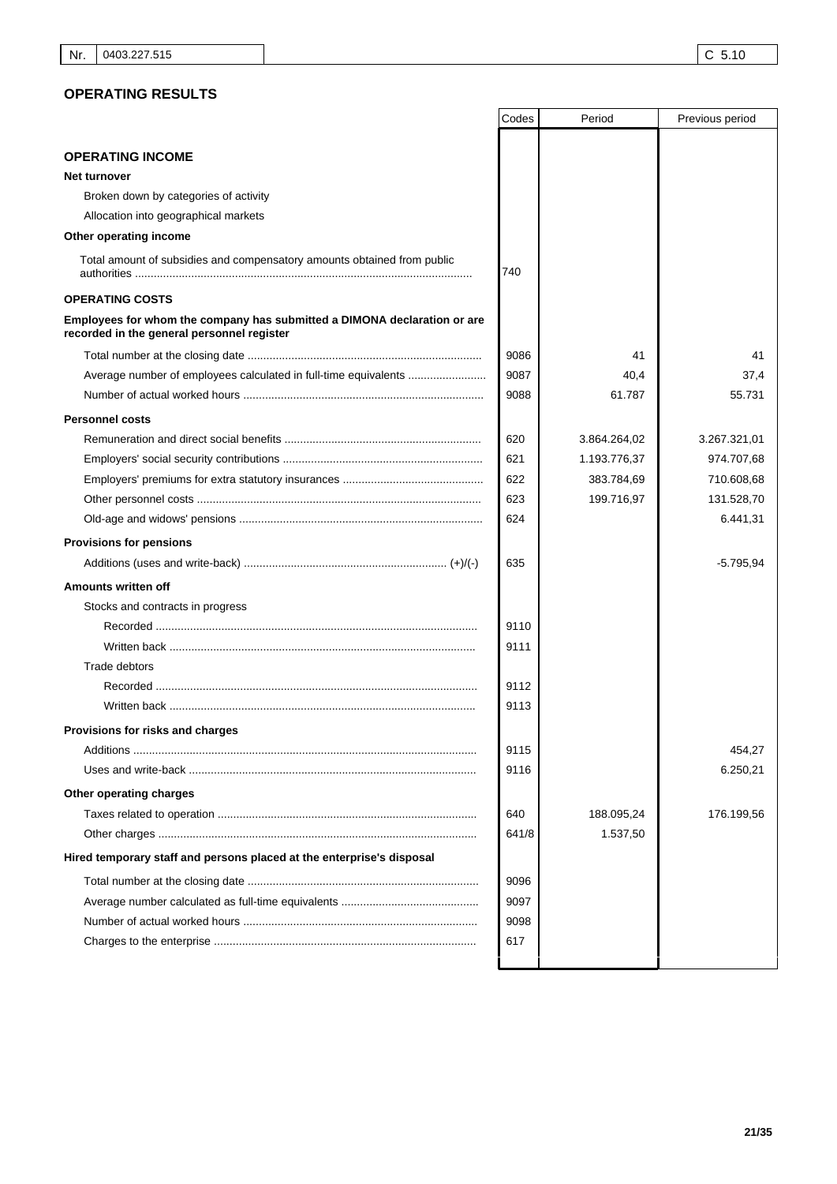## **OPERATING RESULTS**

|                                                                                                                        | Codes | Period       | Previous period |
|------------------------------------------------------------------------------------------------------------------------|-------|--------------|-----------------|
| <b>OPERATING INCOME</b>                                                                                                |       |              |                 |
| <b>Net turnover</b>                                                                                                    |       |              |                 |
| Broken down by categories of activity                                                                                  |       |              |                 |
| Allocation into geographical markets                                                                                   |       |              |                 |
| Other operating income                                                                                                 |       |              |                 |
| Total amount of subsidies and compensatory amounts obtained from public                                                | 740   |              |                 |
| <b>OPERATING COSTS</b>                                                                                                 |       |              |                 |
| Employees for whom the company has submitted a DIMONA declaration or are<br>recorded in the general personnel register |       |              |                 |
|                                                                                                                        | 9086  | 41           | 41              |
| Average number of employees calculated in full-time equivalents                                                        | 9087  | 40,4         | 37,4            |
|                                                                                                                        | 9088  | 61.787       | 55.731          |
| <b>Personnel costs</b>                                                                                                 |       |              |                 |
|                                                                                                                        | 620   | 3.864.264,02 | 3.267.321,01    |
|                                                                                                                        | 621   | 1.193.776,37 | 974.707,68      |
|                                                                                                                        | 622   | 383.784,69   | 710.608,68      |
|                                                                                                                        | 623   | 199.716,97   | 131.528,70      |
|                                                                                                                        | 624   |              | 6.441,31        |
| <b>Provisions for pensions</b>                                                                                         |       |              |                 |
|                                                                                                                        | 635   |              | $-5.795,94$     |
| <b>Amounts written off</b>                                                                                             |       |              |                 |
| Stocks and contracts in progress                                                                                       |       |              |                 |
|                                                                                                                        | 9110  |              |                 |
| Written back ……………………………………………………………………………………                                                                          | 9111  |              |                 |
| <b>Trade debtors</b>                                                                                                   |       |              |                 |
|                                                                                                                        | 9112  |              |                 |
| Written back ……………………………………………………………………………………                                                                          | 9113  |              |                 |
| <b>Provisions for risks and charges</b>                                                                                |       |              |                 |
|                                                                                                                        | 9115  |              | 454,27          |
|                                                                                                                        | 9116  |              | 6.250,21        |
| Other operating charges                                                                                                |       |              |                 |
|                                                                                                                        | 640   | 188.095,24   | 176.199,56      |
|                                                                                                                        | 641/8 | 1.537,50     |                 |
| Hired temporary staff and persons placed at the enterprise's disposal                                                  |       |              |                 |
|                                                                                                                        | 9096  |              |                 |
|                                                                                                                        | 9097  |              |                 |
|                                                                                                                        | 9098  |              |                 |
|                                                                                                                        | 617   |              |                 |
|                                                                                                                        |       |              |                 |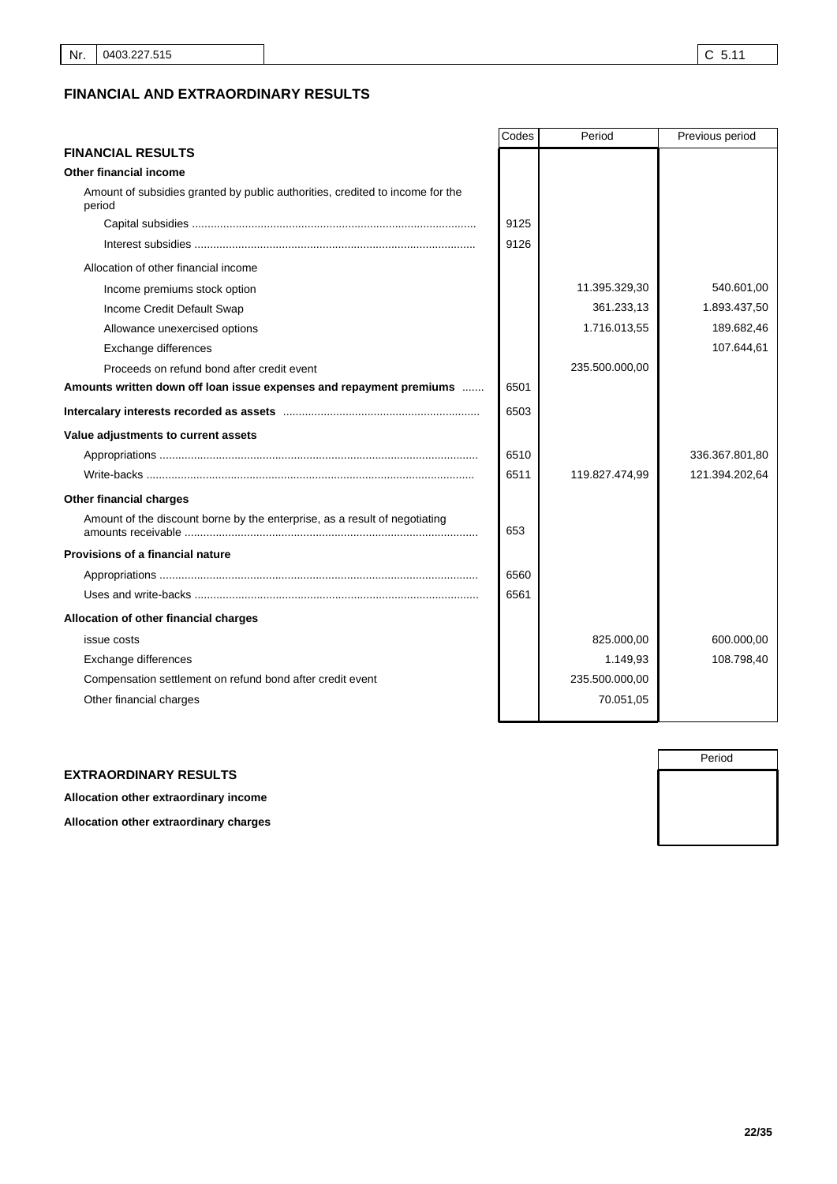# **FINANCIAL AND EXTRAORDINARY RESULTS**

|                                                                                         | Codes | Period         | Previous period |
|-----------------------------------------------------------------------------------------|-------|----------------|-----------------|
| <b>FINANCIAL RESULTS</b>                                                                |       |                |                 |
| Other financial income                                                                  |       |                |                 |
| Amount of subsidies granted by public authorities, credited to income for the<br>period |       |                |                 |
|                                                                                         | 9125  |                |                 |
|                                                                                         | 9126  |                |                 |
| Allocation of other financial income                                                    |       |                |                 |
| Income premiums stock option                                                            |       | 11.395.329.30  | 540.601.00      |
| Income Credit Default Swap                                                              |       | 361.233,13     | 1.893.437,50    |
| Allowance unexercised options                                                           |       | 1.716.013,55   | 189.682,46      |
| Exchange differences                                                                    |       |                | 107.644,61      |
| Proceeds on refund bond after credit event                                              |       | 235.500.000,00 |                 |
| Amounts written down off loan issue expenses and repayment premiums                     | 6501  |                |                 |
|                                                                                         | 6503  |                |                 |
| Value adjustments to current assets                                                     |       |                |                 |
|                                                                                         | 6510  |                | 336.367.801,80  |
|                                                                                         | 6511  | 119.827.474,99 | 121.394.202,64  |
| Other financial charges                                                                 |       |                |                 |
| Amount of the discount borne by the enterprise, as a result of negotiating              | 653   |                |                 |
| <b>Provisions of a financial nature</b>                                                 |       |                |                 |
|                                                                                         | 6560  |                |                 |
|                                                                                         | 6561  |                |                 |
| Allocation of other financial charges                                                   |       |                |                 |
| issue costs                                                                             |       | 825.000,00     | 600.000,00      |
| Exchange differences                                                                    |       | 1.149,93       | 108.798,40      |
| Compensation settlement on refund bond after credit event                               |       | 235.500.000,00 |                 |
| Other financial charges                                                                 |       | 70.051,05      |                 |
|                                                                                         |       |                |                 |

## **EXTRAORDINARY RESULTS**

**Allocation other extraordinary income**

**Allocation other extraordinary charges**

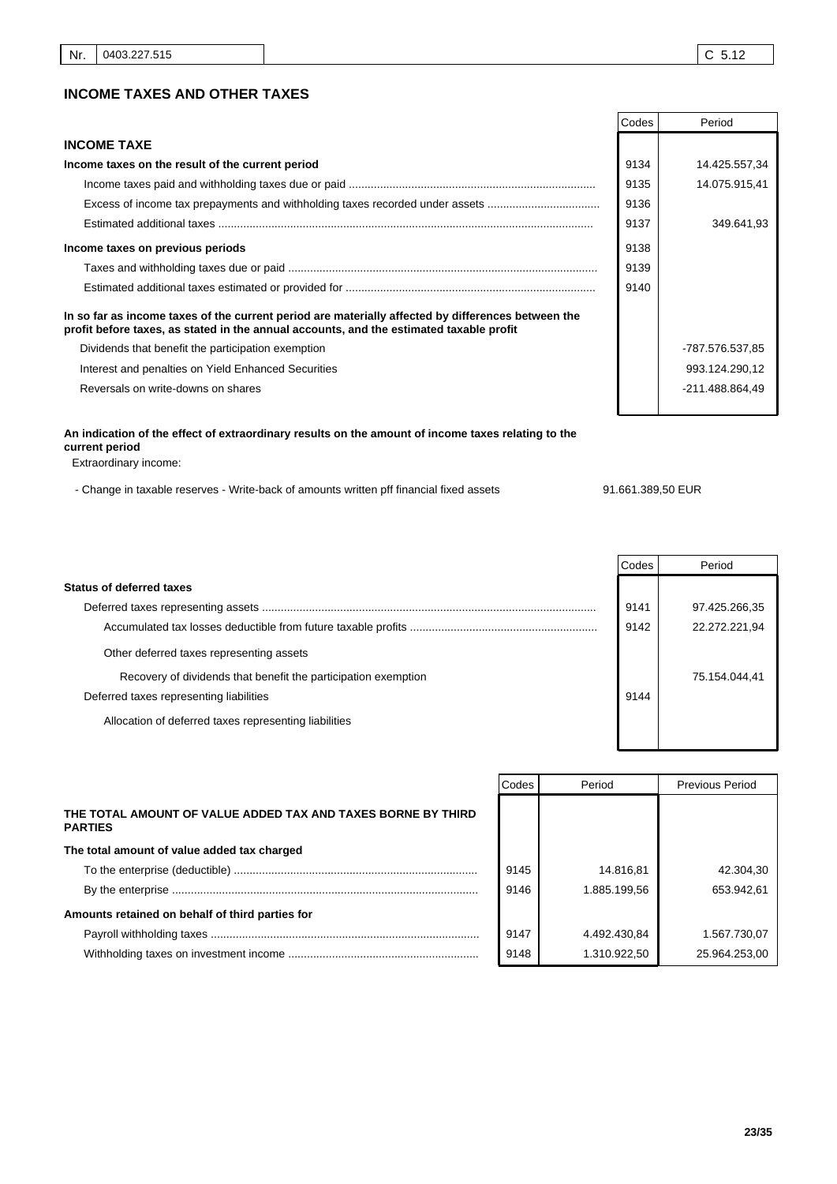## **INCOME TAXES AND OTHER TAXES**

|                                                                                                                                                                                               | Codes | Period          |
|-----------------------------------------------------------------------------------------------------------------------------------------------------------------------------------------------|-------|-----------------|
| <b>INCOME TAXE</b>                                                                                                                                                                            |       |                 |
| Income taxes on the result of the current period                                                                                                                                              | 9134  | 14.425.557,34   |
|                                                                                                                                                                                               | 9135  | 14.075.915.41   |
| Excess of income tax prepayments and withholding taxes recorded under assets                                                                                                                  | 9136  |                 |
|                                                                                                                                                                                               | 9137  | 349.641,93      |
| Income taxes on previous periods                                                                                                                                                              | 9138  |                 |
|                                                                                                                                                                                               | 9139  |                 |
|                                                                                                                                                                                               | 9140  |                 |
| In so far as income taxes of the current period are materially affected by differences between the<br>profit before taxes, as stated in the annual accounts, and the estimated taxable profit |       |                 |
| Dividends that benefit the participation exemption                                                                                                                                            |       | -787.576.537,85 |
| Interest and penalties on Yield Enhanced Securities                                                                                                                                           |       | 993.124.290,12  |
| Reversals on write-downs on shares                                                                                                                                                            |       | -211.488.864.49 |

## **An indication of the effect of extraordinary results on the amount of income taxes relating to the current period**

Extraordinary income:

- Change in taxable reserves - Write-back of amounts written pff financial fixed assets 91.661.389,50 EUR

## Codes Period **Status of deferred taxes** Deferred taxes representing assets ........................................................................................................... Accumulated tax losses deductible from future taxable profits ............................................................ 97.425.266,35 9142 22.272.221,94 9141 Other deferred taxes representing assets Recovery of dividends that benefit the participation exemption **75.154.044,41** 75.154.044,41 Deferred taxes representing liabilities **9144** and the set of the set of the set of the set of the set of the set of the set of the set of the set of the set of the set of the set of the set of the set of the set of the se Allocation of deferred taxes representing liabilities

|                                                                                | Codes | Period       | <b>Previous Period</b> |
|--------------------------------------------------------------------------------|-------|--------------|------------------------|
| THE TOTAL AMOUNT OF VALUE ADDED TAX AND TAXES BORNE BY THIRD<br><b>PARTIES</b> |       |              |                        |
| The total amount of value added tax charged                                    |       |              |                        |
|                                                                                | 9145  | 14.816.81    | 42.304,30              |
|                                                                                | 9146  | 1.885.199.56 | 653.942.61             |
| Amounts retained on behalf of third parties for                                |       |              |                        |
|                                                                                | 9147  | 4.492.430,84 | 1.567.730,07           |
|                                                                                | 9148  | 1.310.922.50 | 25.964.253.00          |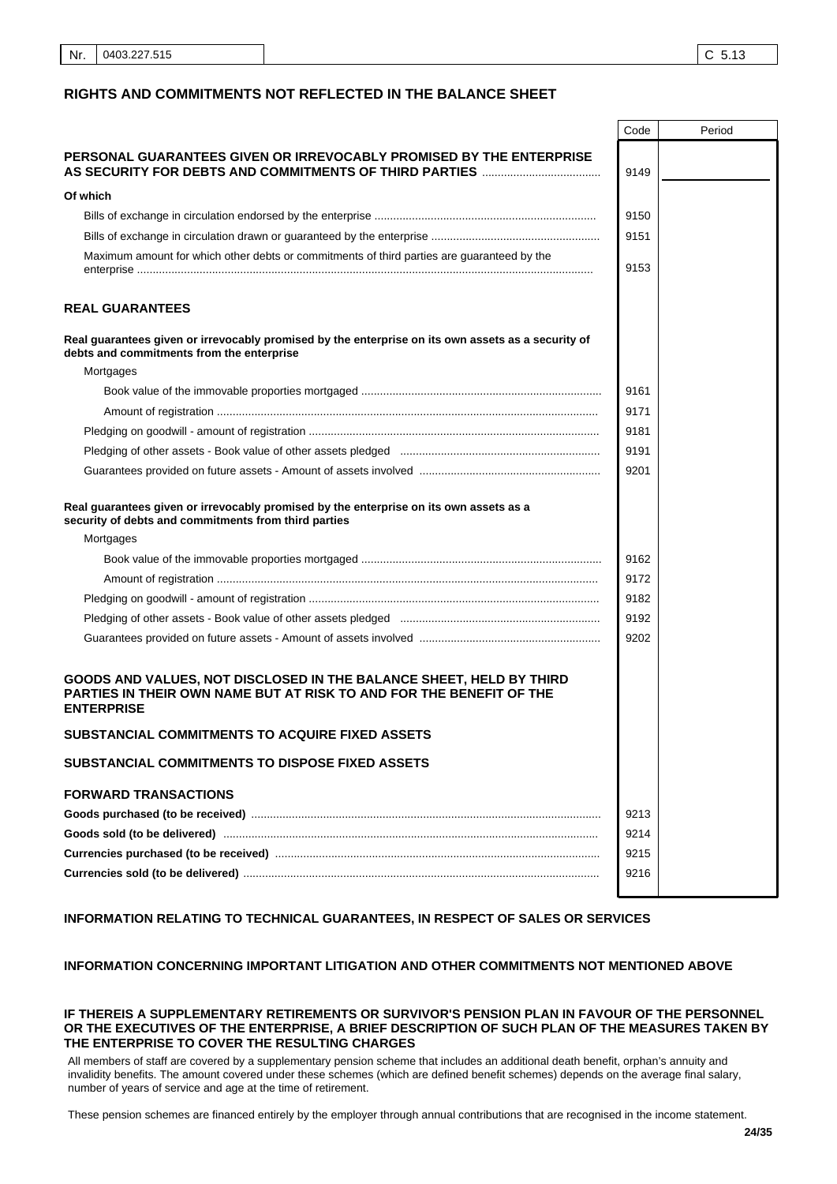|                                                                                                                                                                 | Code | Period |
|-----------------------------------------------------------------------------------------------------------------------------------------------------------------|------|--------|
| PERSONAL GUARANTEES GIVEN OR IRREVOCABLY PROMISED BY THE ENTERPRISE                                                                                             |      |        |
|                                                                                                                                                                 | 9149 |        |
| Of which                                                                                                                                                        |      |        |
|                                                                                                                                                                 | 9150 |        |
|                                                                                                                                                                 | 9151 |        |
| Maximum amount for which other debts or commitments of third parties are guaranteed by the                                                                      |      |        |
|                                                                                                                                                                 | 9153 |        |
| <b>REAL GUARANTEES</b>                                                                                                                                          |      |        |
| Real guarantees given or irrevocably promised by the enterprise on its own assets as a security of<br>debts and commitments from the enterprise                 |      |        |
| Mortgages                                                                                                                                                       |      |        |
|                                                                                                                                                                 | 9161 |        |
|                                                                                                                                                                 | 9171 |        |
|                                                                                                                                                                 | 9181 |        |
|                                                                                                                                                                 | 9191 |        |
|                                                                                                                                                                 | 9201 |        |
| Real guarantees given or irrevocably promised by the enterprise on its own assets as a<br>security of debts and commitments from third parties                  |      |        |
| Mortgages                                                                                                                                                       |      |        |
|                                                                                                                                                                 | 9162 |        |
|                                                                                                                                                                 | 9172 |        |
|                                                                                                                                                                 | 9182 |        |
|                                                                                                                                                                 | 9192 |        |
|                                                                                                                                                                 | 9202 |        |
| GOODS AND VALUES, NOT DISCLOSED IN THE BALANCE SHEET, HELD BY THIRD<br>PARTIES IN THEIR OWN NAME BUT AT RISK TO AND FOR THE BENEFIT OF THE<br><b>ENTERPRISE</b> |      |        |
| SUBSTANCIAL COMMITMENTS TO ACQUIRE FIXED ASSETS                                                                                                                 |      |        |
| SUBSTANCIAL COMMITMENTS TO DISPOSE FIXED ASSETS                                                                                                                 |      |        |
| <b>FORWARD TRANSACTIONS</b>                                                                                                                                     |      |        |
|                                                                                                                                                                 | 9213 |        |
|                                                                                                                                                                 | 9214 |        |
|                                                                                                                                                                 | 9215 |        |
|                                                                                                                                                                 | 9216 |        |
|                                                                                                                                                                 |      |        |

# **INFORMATION RELATING TO TECHNICAL GUARANTEES, IN RESPECT OF SALES OR SERVICES**

## **INFORMATION CONCERNING IMPORTANT LITIGATION AND OTHER COMMITMENTS NOT MENTIONED ABOVE**

#### **IF THEREIS A SUPPLEMENTARY RETIREMENTS OR SURVIVOR'S PENSION PLAN IN FAVOUR OF THE PERSONNEL OR THE EXECUTIVES OF THE ENTERPRISE, A BRIEF DESCRIPTION OF SUCH PLAN OF THE MEASURES TAKEN BY THE ENTERPRISE TO COVER THE RESULTING CHARGES**

All members of staff are covered by a supplementary pension scheme that includes an additional death benefit, orphan's annuity and invalidity benefits. The amount covered under these schemes (which are defined benefit schemes) depends on the average final salary, number of years of service and age at the time of retirement. 

These pension schemes are financed entirely by the employer through annual contributions that are recognised in the income statement.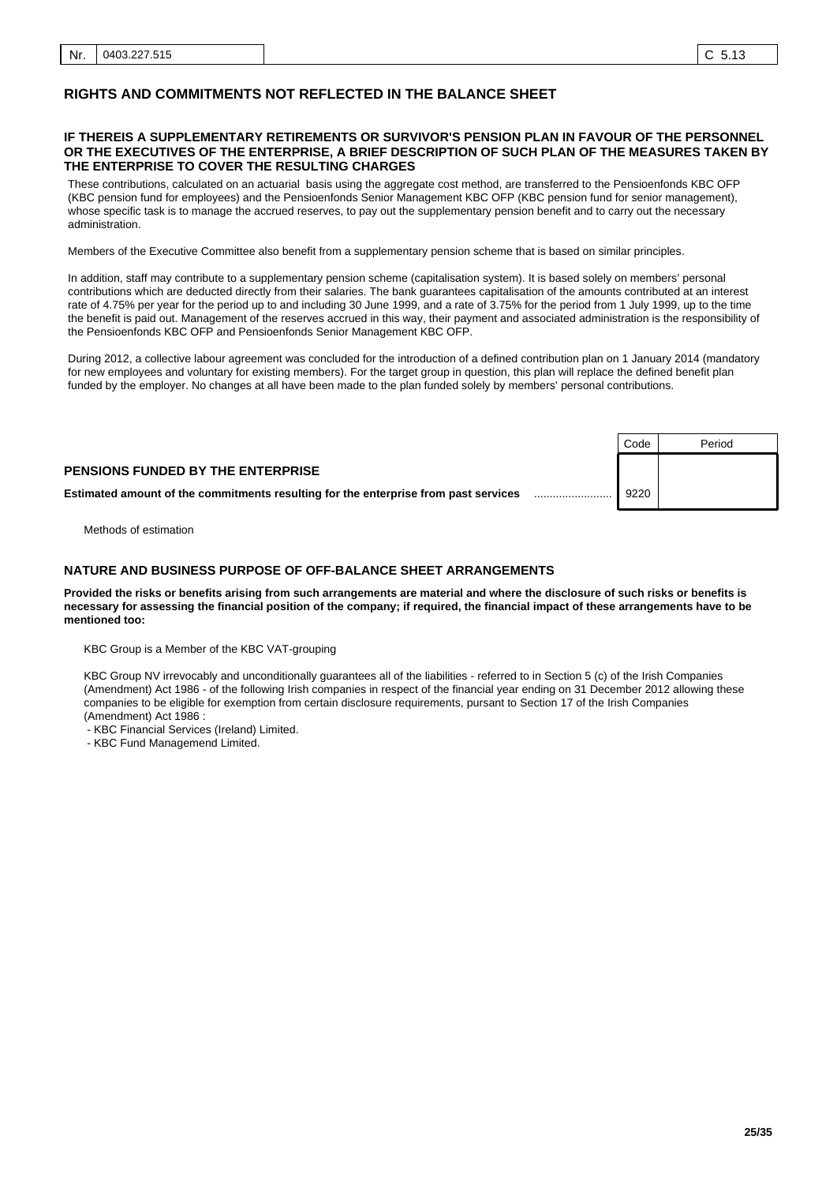#### **IF THEREIS A SUPPLEMENTARY RETIREMENTS OR SURVIVOR'S PENSION PLAN IN FAVOUR OF THE PERSONNEL OR THE EXECUTIVES OF THE ENTERPRISE, A BRIEF DESCRIPTION OF SUCH PLAN OF THE MEASURES TAKEN BY THE ENTERPRISE TO COVER THE RESULTING CHARGES**

These contributions, calculated on an actuarial basis using the aggregate cost method, are transferred to the Pensioenfonds KBC OFP (KBC pension fund for employees) and the Pensioenfonds Senior Management KBC OFP (KBC pension fund for senior management), whose specific task is to manage the accrued reserves, to pay out the supplementary pension benefit and to carry out the necessary administration. 

Members of the Executive Committee also benefit from a supplementary pension scheme that is based on similar principles. 

In addition, staff may contribute to a supplementary pension scheme (capitalisation system). It is based solely on members' personal contributions which are deducted directly from their salaries. The bank guarantees capitalisation of the amounts contributed at an interest rate of 4.75% per year for the period up to and including 30 June 1999, and a rate of 3.75% for the period from 1 July 1999, up to the time the benefit is paid out. Management of the reserves accrued in this way, their payment and associated administration is the responsibility of the Pensioenfonds KBC OFP and Pensioenfonds Senior Management KBC OFP. 

During 2012, a collective labour agreement was concluded for the introduction of a defined contribution plan on 1 January 2014 (mandatory for new employees and voluntary for existing members). For the target group in question, this plan will replace the defined benefit plan funded by the employer. No changes at all have been made to the plan funded solely by members' personal contributions. 

|                                                                                     | Code | Period |
|-------------------------------------------------------------------------------------|------|--------|
| <b>PENSIONS FUNDED BY THE ENTERPRISE</b>                                            |      |        |
| Estimated amount of the commitments resulting for the enterprise from past services | 9220 |        |

Methods of estimation

#### $\mathbf{r}$ .. **NATURE AND BUSINESS PURPOSE OF OFF-BALANCE SHEET ARRANGEMENTS**

**Provided the risks or benefits arising from such arrangements are material and where the disclosure of such risks or benefits is necessary for assessing the financial position of the company; if required, the financial impact of these arrangements have to be mentioned too:**

KBC Group is a Member of the KBC VAT-grouping

KBC Group NV irrevocably and unconditionally guarantees all of the liabilities - referred to in Section 5 (c) of the Irish Companies (Amendment) Act 1986 - of the following Irish companies in respect of the financial year ending on 31 December 2012 allowing these companies to be eligible for exemption from certain disclosure requirements, pursant to Section 17 of the Irish Companies (Amendment) Act 1986 :

- KBC Financial Services (Ireland) Limited.

- KBC Fund Managemend Limited.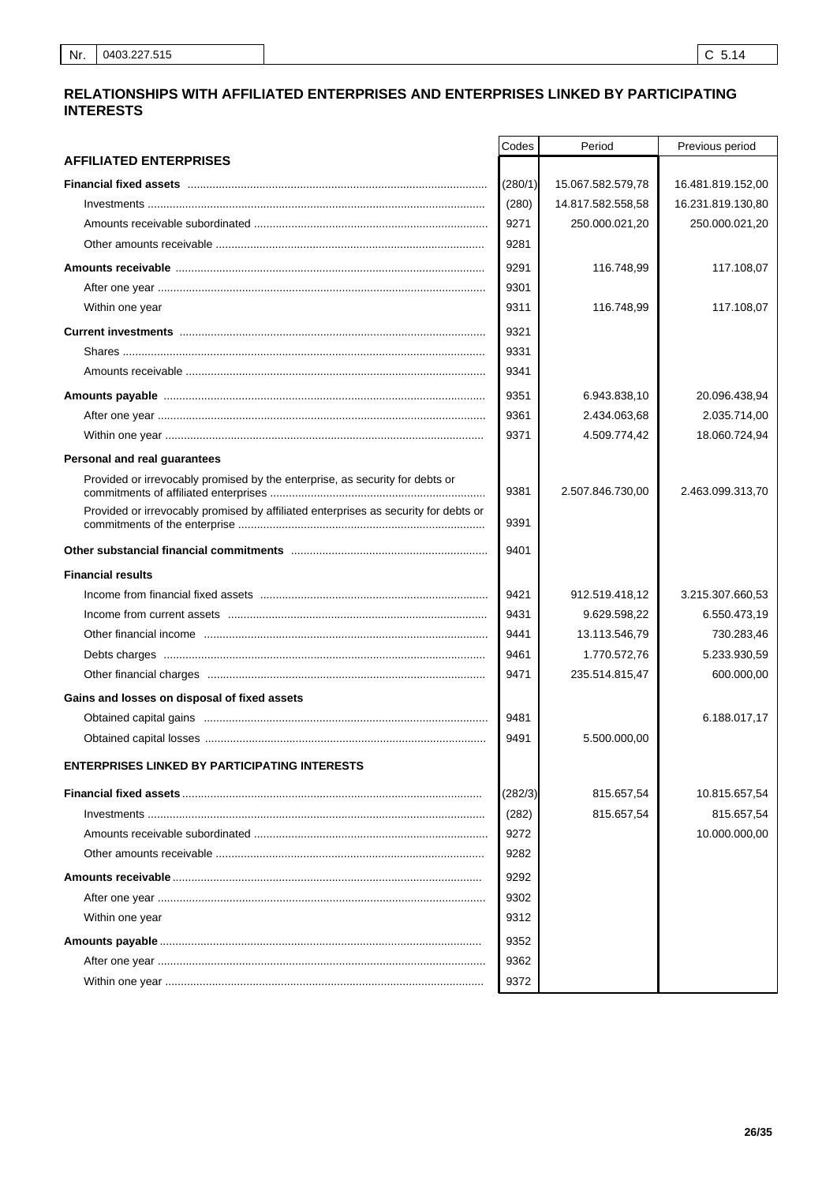## RELATIONSHIPS WITH AFFILIATED ENTERPRISES AND ENTERPRISES LINKED BY PARTICIPATING **INTERESTS**

|                                                                                     | Codes   | Period            | Previous period   |
|-------------------------------------------------------------------------------------|---------|-------------------|-------------------|
| <b>AFFILIATED ENTERPRISES</b>                                                       |         |                   |                   |
|                                                                                     | (280/1) | 15.067.582.579,78 | 16.481.819.152,00 |
|                                                                                     | (280)   | 14.817.582.558,58 | 16.231.819.130,80 |
|                                                                                     | 9271    | 250.000.021,20    | 250.000.021,20    |
|                                                                                     | 9281    |                   |                   |
|                                                                                     | 9291    | 116.748,99        | 117.108,07        |
|                                                                                     | 9301    |                   |                   |
| Within one year                                                                     | 9311    | 116.748,99        | 117.108,07        |
|                                                                                     | 9321    |                   |                   |
|                                                                                     | 9331    |                   |                   |
|                                                                                     | 9341    |                   |                   |
|                                                                                     | 9351    | 6.943.838,10      | 20.096.438,94     |
|                                                                                     | 9361    | 2.434.063,68      | 2.035.714,00      |
|                                                                                     | 9371    | 4.509.774,42      | 18.060.724,94     |
| Personal and real guarantees                                                        |         |                   |                   |
| Provided or irrevocably promised by the enterprise, as security for debts or        |         |                   |                   |
|                                                                                     | 9381    | 2.507.846.730,00  | 2.463.099.313,70  |
| Provided or irrevocably promised by affiliated enterprises as security for debts or | 9391    |                   |                   |
|                                                                                     | 9401    |                   |                   |
| <b>Financial results</b>                                                            |         |                   |                   |
|                                                                                     | 9421    | 912.519.418,12    | 3.215.307.660,53  |
|                                                                                     | 9431    | 9.629.598,22      | 6.550.473,19      |
|                                                                                     | 9441    | 13.113.546,79     | 730.283,46        |
|                                                                                     | 9461    | 1.770.572,76      | 5.233.930,59      |
|                                                                                     | 9471    | 235.514.815,47    | 600.000,00        |
| Gains and losses on disposal of fixed assets                                        |         |                   |                   |
|                                                                                     | 9481    |                   | 6.188.017,17      |
|                                                                                     | 9491    | 5.500.000,00      |                   |
| <b>ENTERPRISES LINKED BY PARTICIPATING INTERESTS</b>                                |         |                   |                   |
|                                                                                     | (282/3) | 815.657,54        | 10.815.657,54     |
|                                                                                     | (282)   | 815.657,54        | 815.657,54        |
|                                                                                     | 9272    |                   | 10.000.000,00     |
|                                                                                     | 9282    |                   |                   |
|                                                                                     | 9292    |                   |                   |
|                                                                                     | 9302    |                   |                   |
| Within one year                                                                     | 9312    |                   |                   |
|                                                                                     | 9352    |                   |                   |
|                                                                                     | 9362    |                   |                   |
|                                                                                     | 9372    |                   |                   |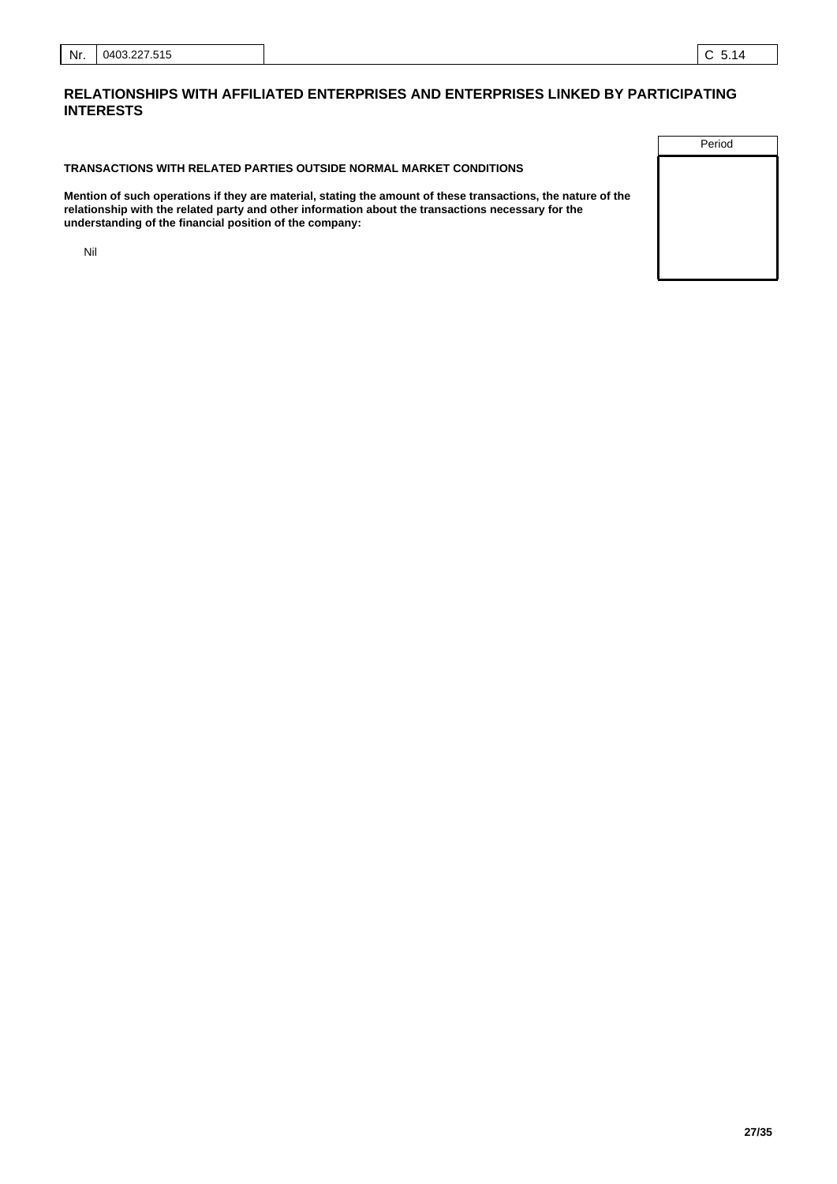## **TRANSACTIONS WITH RELATED PARTIES OUTSIDE NORMAL MARKET CONDITIONS**

**Mention of such operations if they are material, stating the amount of these transactions, the nature of the relationship with the related party and other information about the transactions necessary for the understanding of the financial position of the company:**

Nil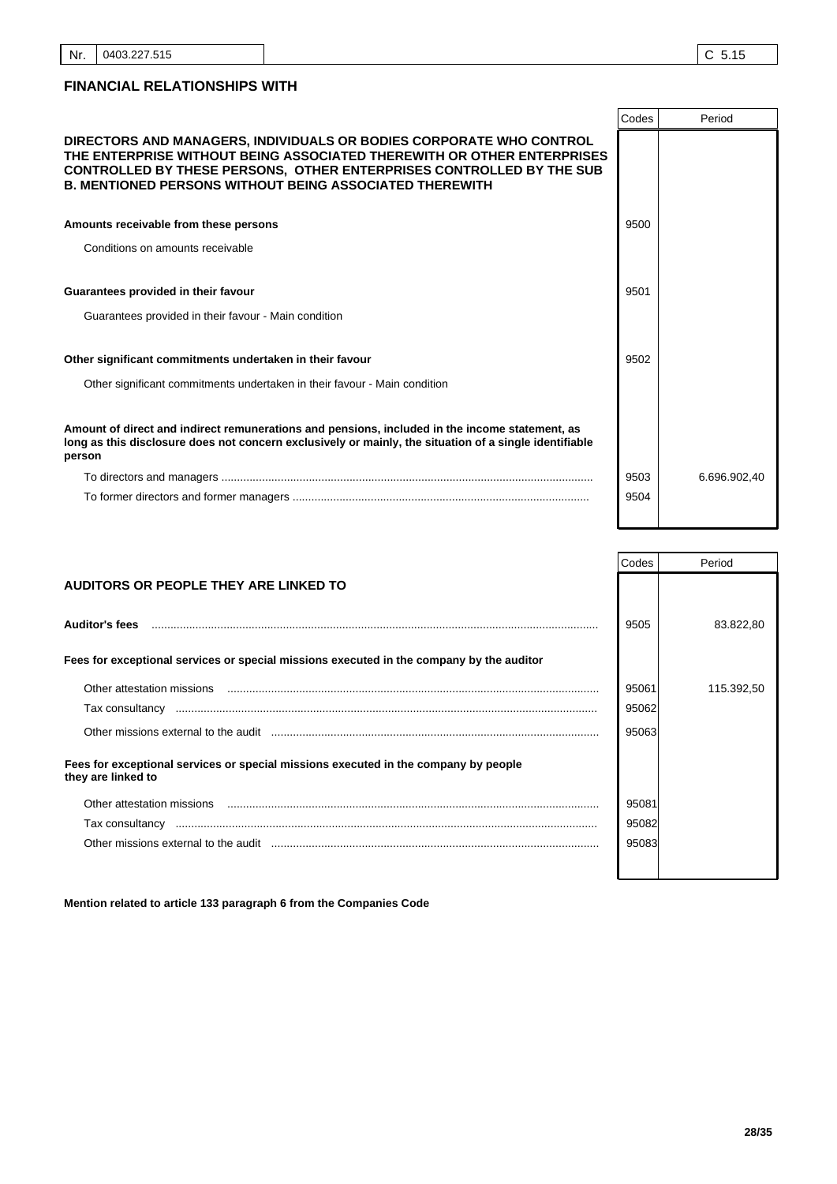|                                                                                                                                                                                                                                                                                                | Codes | Period       |
|------------------------------------------------------------------------------------------------------------------------------------------------------------------------------------------------------------------------------------------------------------------------------------------------|-------|--------------|
| DIRECTORS AND MANAGERS, INDIVIDUALS OR BODIES CORPORATE WHO CONTROL<br>THE ENTERPRISE WITHOUT BEING ASSOCIATED THEREWITH OR OTHER ENTERPRISES<br><b>CONTROLLED BY THESE PERSONS, OTHER ENTERPRISES CONTROLLED BY THE SUB</b><br><b>B. MENTIONED PERSONS WITHOUT BEING ASSOCIATED THEREWITH</b> |       |              |
| Amounts receivable from these persons                                                                                                                                                                                                                                                          | 9500  |              |
| Conditions on amounts receivable                                                                                                                                                                                                                                                               |       |              |
| Guarantees provided in their favour                                                                                                                                                                                                                                                            | 9501  |              |
| Guarantees provided in their favour - Main condition                                                                                                                                                                                                                                           |       |              |
| Other significant commitments undertaken in their favour                                                                                                                                                                                                                                       | 9502  |              |
| Other significant commitments undertaken in their favour - Main condition                                                                                                                                                                                                                      |       |              |
| Amount of direct and indirect remunerations and pensions, included in the income statement, as<br>long as this disclosure does not concern exclusively or mainly, the situation of a single identifiable<br>person                                                                             |       |              |
|                                                                                                                                                                                                                                                                                                | 9503  | 6.696.902,40 |
|                                                                                                                                                                                                                                                                                                | 9504  |              |

|                                                                                                           | Codes | Period     |
|-----------------------------------------------------------------------------------------------------------|-------|------------|
| AUDITORS OR PEOPLE THEY ARE LINKED TO                                                                     |       |            |
|                                                                                                           |       |            |
| <b>Auditor's fees</b>                                                                                     | 9505  | 83.822,80  |
|                                                                                                           |       |            |
| Fees for exceptional services or special missions executed in the company by the auditor                  |       |            |
| Other attestation missions                                                                                | 95061 | 115.392,50 |
| Tax consultancy                                                                                           | 95062 |            |
|                                                                                                           | 95063 |            |
| Fees for exceptional services or special missions executed in the company by people<br>they are linked to |       |            |
| Other attestation missions                                                                                | 95081 |            |
|                                                                                                           | 95082 |            |
|                                                                                                           | 95083 |            |
|                                                                                                           |       |            |

**Mention related to article 133 paragraph 6 from the Companies Code**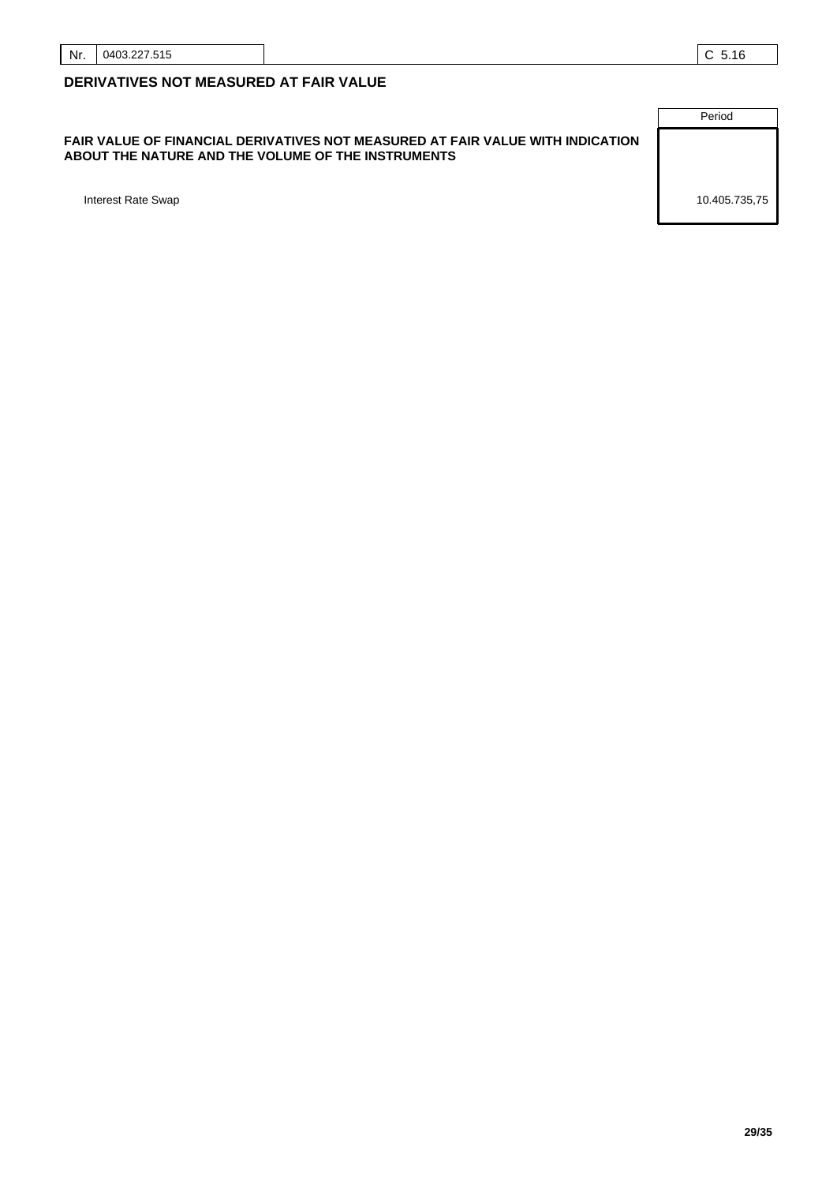## **FAIR VALUE OF FINANCIAL DERIVATIVES NOT MEASURED AT FAIR VALUE WITH INDICATION ABOUT THE NATURE AND THE VOLUME OF THE INSTRUMENTS**

Period Interest Rate Swap 10.405.735,75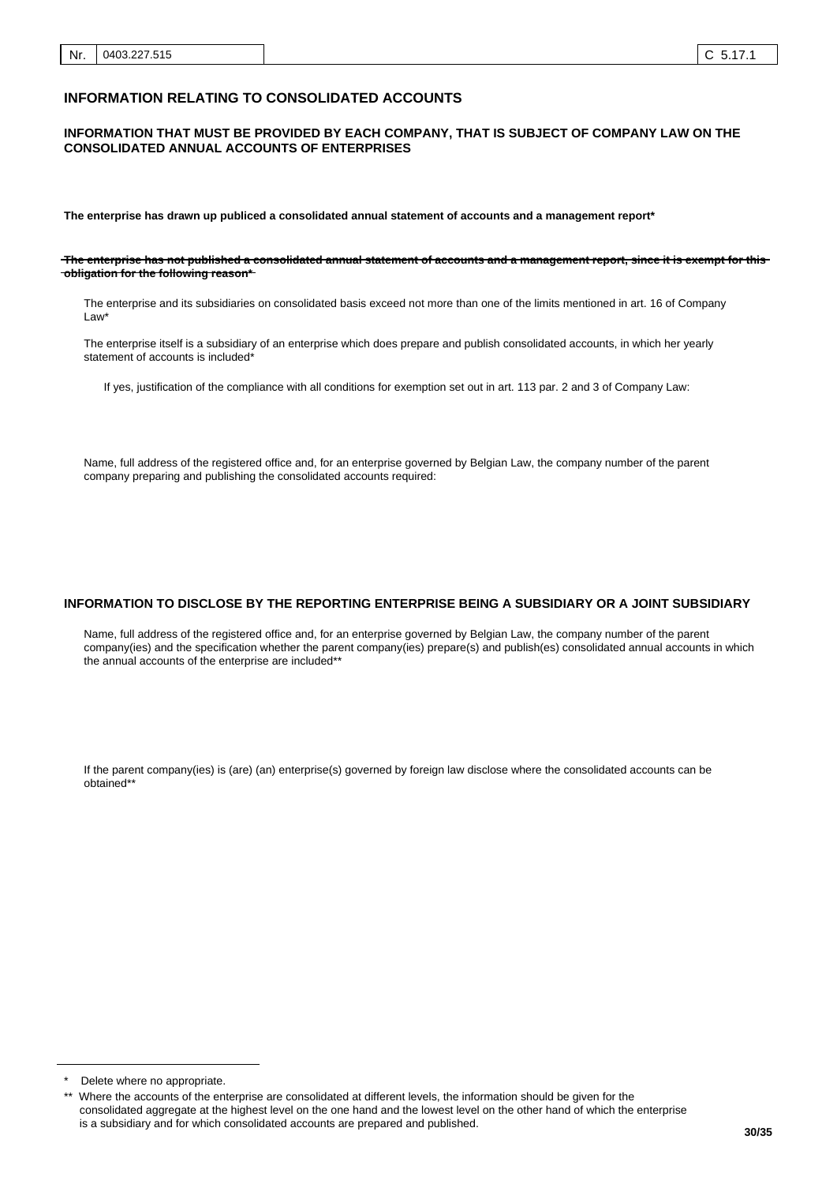## **INFORMATION RELATING TO CONSOLIDATED ACCOUNTS**

#### **INFORMATION THAT MUST BE PROVIDED BY EACH COMPANY, THAT IS SUBJECT OF COMPANY LAW ON THE CONSOLIDATED ANNUAL ACCOUNTS OF ENTERPRISES**

**The enterprise has drawn up publiced a consolidated annual statement of accounts and a management report\***

**The enterprise has not published a consolidated annual statement of accounts and a management report, since it is exempt for this obligation for the following reason\***

The enterprise and its subsidiaries on consolidated basis exceed not more than one of the limits mentioned in art. 16 of Company Law\*

The enterprise itself is a subsidiary of an enterprise which does prepare and publish consolidated accounts, in which her yearly statement of accounts is included\*

If yes, justification of the compliance with all conditions for exemption set out in art. 113 par. 2 and 3 of Company Law:

Name, full address of the registered office and, for an enterprise governed by Belgian Law, the company number of the parent company preparing and publishing the consolidated accounts required:

#### **INFORMATION TO DISCLOSE BY THE REPORTING ENTERPRISE BEING A SUBSIDIARY OR A JOINT SUBSIDIARY**

Name, full address of the registered office and, for an enterprise governed by Belgian Law, the company number of the parent company(ies) and the specification whether the parent company(ies) prepare(s) and publish(es) consolidated annual accounts in which the annual accounts of the enterprise are included\*\*

If the parent company(ies) is (are) (an) enterprise(s) governed by foreign law disclose where the consolidated accounts can be obtained\*\*

Delete where no appropriate.

Where the accounts of the enterprise are consolidated at different levels, the information should be given for the consolidated aggregate at the highest level on the one hand and the lowest level on the other hand of which the enterprise is a subsidiary and for which consolidated accounts are prepared and published.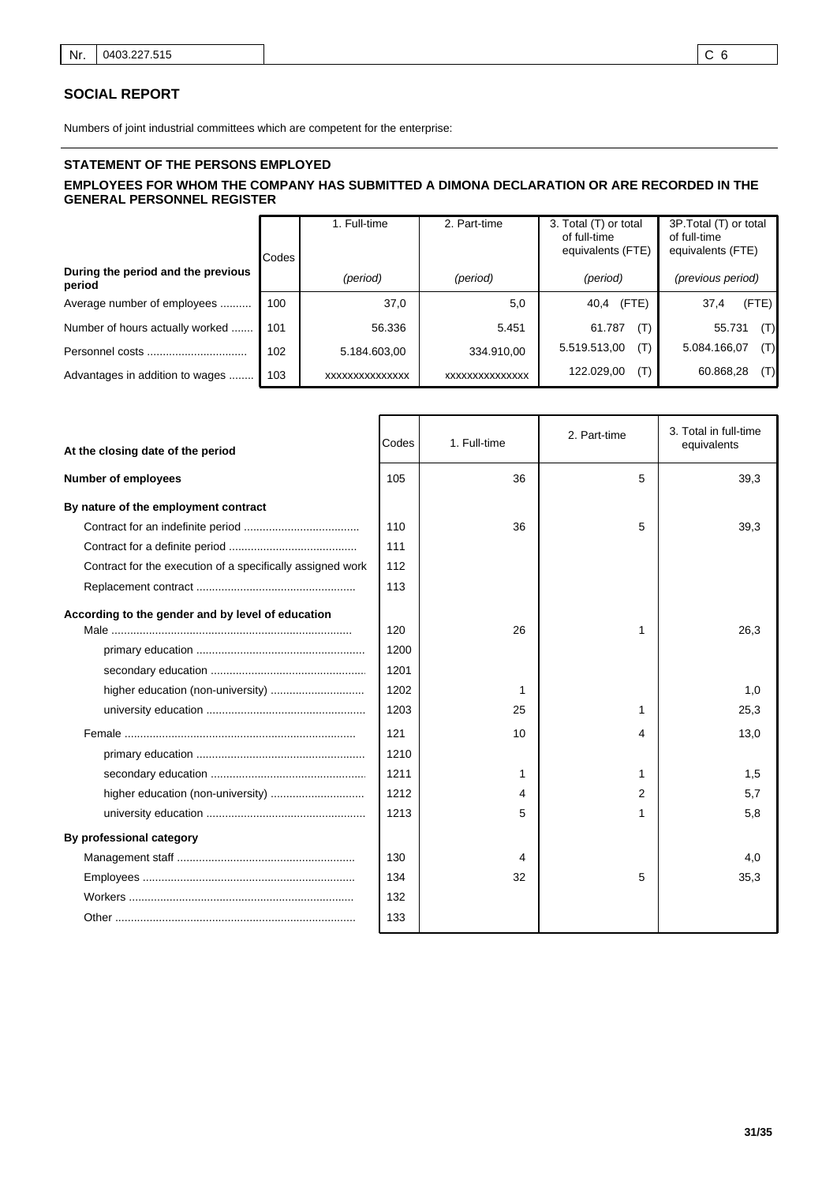## **SOCIAL REPORT**

Numbers of joint industrial committees which are competent for the enterprise:

## **STATEMENT OF THE PERSONS EMPLOYED EMPLOYEES FOR WHOM THE COMPANY HAS SUBMITTED A DIMONA DECLARATION OR ARE RECORDED IN THE GENERAL PERSONNEL REGISTER**

|                                              | Codes | 1. Full-time   | 3. Total (T) or total<br>2. Part-time<br>of full-time<br>equivalents (FTE) |                     | 3P. Total (T) or total<br>of full-time<br>equivalents (FTE) |
|----------------------------------------------|-------|----------------|----------------------------------------------------------------------------|---------------------|-------------------------------------------------------------|
| During the period and the previous<br>period |       | (period)       | (period)                                                                   | (period)            | (previous period)                                           |
| Average number of employees                  | 100   | 37,0           | 5,0                                                                        | (FTE)<br>40,4       | (FTE)<br>37,4                                               |
| Number of hours actually worked              | 101   | 56.336         | 5.451                                                                      | 61.787<br>(T)       | (T)<br>55.731                                               |
| Personnel costs                              | 102   | 5.184.603,00   | 334.910,00                                                                 | 5.519.513,00<br>(T) | (T)<br>5.084.166,07                                         |
| Advantages in addition to wages              | 103   | XXXXXXXXXXXXXX | <b>XXXXXXXXXXXXXXX</b>                                                     | 122.029,00<br>(T)   | (T)<br>60.868,28                                            |

| At the closing date of the period                          | Codes | 1. Full-time | 2. Part-time   | 3. Total in full-time<br>equivalents |
|------------------------------------------------------------|-------|--------------|----------------|--------------------------------------|
| <b>Number of employees</b>                                 | 105   | 36           | 5              | 39,3                                 |
| By nature of the employment contract                       |       |              |                |                                      |
|                                                            | 110   | 36           | 5              | 39,3                                 |
|                                                            | 111   |              |                |                                      |
| Contract for the execution of a specifically assigned work | 112   |              |                |                                      |
|                                                            | 113   |              |                |                                      |
| According to the gender and by level of education          | 120   | 26           | 1              | 26,3                                 |
|                                                            | 1200  |              |                |                                      |
|                                                            | 1201  |              |                |                                      |
|                                                            | 1202  | 1            |                | 1,0                                  |
|                                                            | 1203  | 25           | 1              | 25,3                                 |
|                                                            | 121   | 10           | 4              | 13,0                                 |
|                                                            | 1210  |              |                |                                      |
|                                                            | 1211  | 1            | 1              | 1,5                                  |
|                                                            | 1212  | 4            | $\overline{2}$ | 5.7                                  |
|                                                            | 1213  | 5            | 1              | 5,8                                  |
| By professional category                                   |       |              |                |                                      |
|                                                            | 130   | 4            |                | 4,0                                  |
|                                                            | 134   | 32           | 5              | 35,3                                 |
|                                                            | 132   |              |                |                                      |
|                                                            | 133   |              |                |                                      |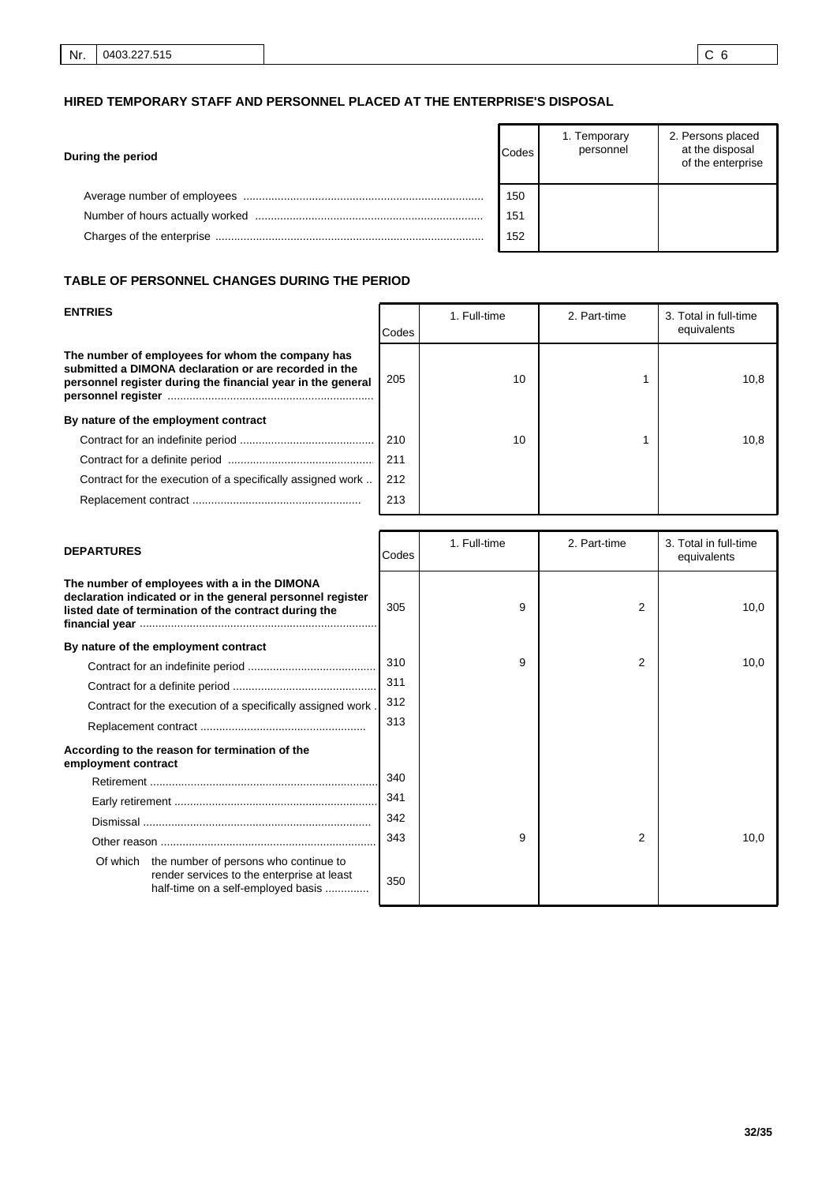# **HIRED TEMPORARY STAFF AND PERSONNEL PLACED AT THE ENTERPRISE'S DISPOSAL**

| During the period | Codes | 1. Temporary<br>personnel | 2. Persons placed<br>at the disposal<br>of the enterprise |
|-------------------|-------|---------------------------|-----------------------------------------------------------|
|                   | 150   |                           |                                                           |
|                   | 151   |                           |                                                           |
|                   | 152   |                           |                                                           |

## **TABLE OF PERSONNEL CHANGES DURING THE PERIOD**

| <b>ENTRIES</b>                                                                                                                                                           | Codes | 1. Full-time | 2. Part-time | 3. Total in full-time<br>equivalents |
|--------------------------------------------------------------------------------------------------------------------------------------------------------------------------|-------|--------------|--------------|--------------------------------------|
| The number of employees for whom the company has<br>submitted a DIMONA declaration or are recorded in the<br>personnel register during the financial year in the general | 205   | 10           |              | 10,8                                 |
| By nature of the employment contract                                                                                                                                     |       |              |              |                                      |
|                                                                                                                                                                          | 210   | 10           |              | 10.8                                 |
|                                                                                                                                                                          | 211   |              |              |                                      |
| Contract for the execution of a specifically assigned work                                                                                                               | 212   |              |              |                                      |
|                                                                                                                                                                          | 213   |              |              |                                      |

| <b>DEPARTURES</b>                                                                                                                                                   | Codes | 1. Full-time | 2. Part-time | 3. Total in full-time<br>equivalents |
|---------------------------------------------------------------------------------------------------------------------------------------------------------------------|-------|--------------|--------------|--------------------------------------|
| The number of employees with a in the DIMONA<br>declaration indicated or in the general personnel register<br>listed date of termination of the contract during the | 305   | 9            | 2            | 10,0                                 |
| By nature of the employment contract                                                                                                                                |       |              |              |                                      |
|                                                                                                                                                                     | 310   | 9            | 2            | 10,0                                 |
|                                                                                                                                                                     | 311   |              |              |                                      |
| Contract for the execution of a specifically assigned work.                                                                                                         | 312   |              |              |                                      |
|                                                                                                                                                                     | 313   |              |              |                                      |
| According to the reason for termination of the<br>employment contract                                                                                               |       |              |              |                                      |
|                                                                                                                                                                     | 340   |              |              |                                      |
|                                                                                                                                                                     | 341   |              |              |                                      |
|                                                                                                                                                                     | 342   |              |              |                                      |
|                                                                                                                                                                     | 343   | 9            | 2            | 10,0                                 |
| Of which the number of persons who continue to<br>render services to the enterprise at least<br>half-time on a self-employed basis                                  | 350   |              |              |                                      |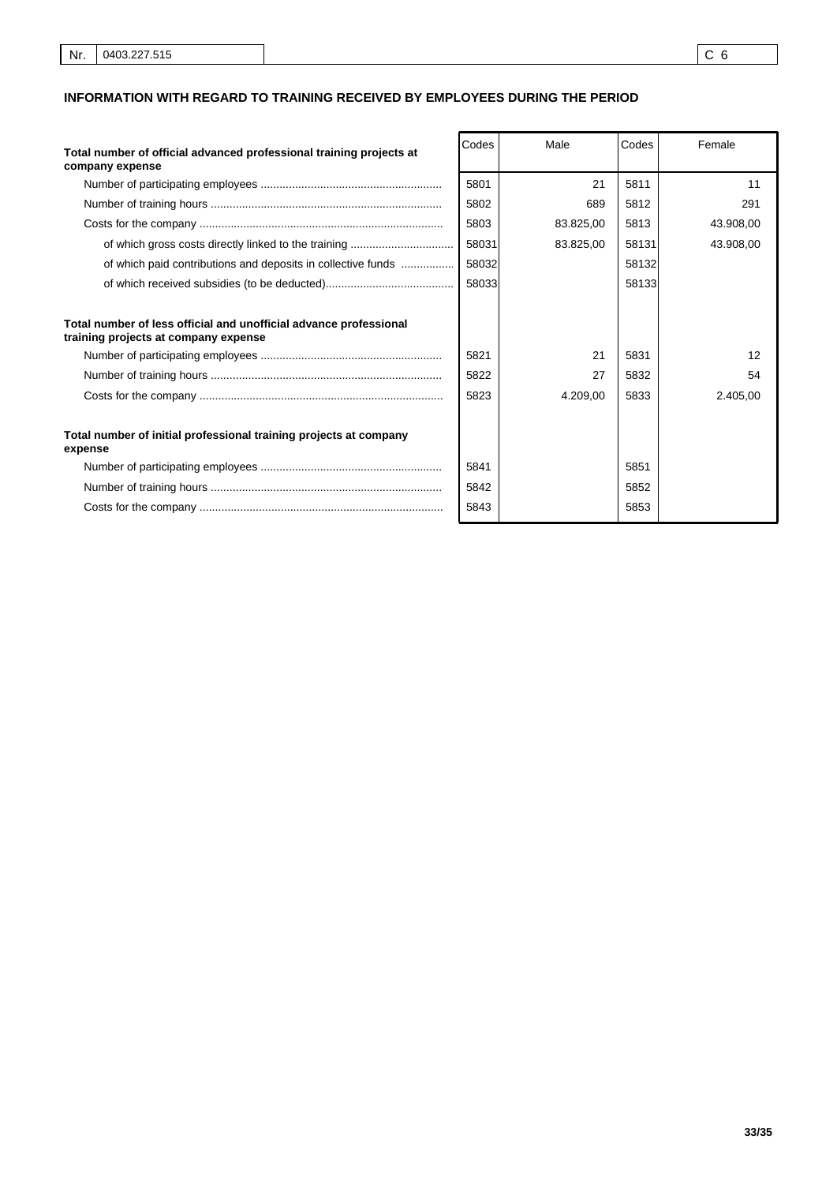## **INFORMATION WITH REGARD TO TRAINING RECEIVED BY EMPLOYEES DURING THE PERIOD**

| Total number of official advanced professional training projects at<br>company expense                    | Codes | Male      | Codes | Female    |
|-----------------------------------------------------------------------------------------------------------|-------|-----------|-------|-----------|
|                                                                                                           | 5801  | 21        | 5811  | 11        |
|                                                                                                           | 5802  | 689       | 5812  | 291       |
|                                                                                                           | 5803  | 83.825,00 | 5813  | 43.908,00 |
|                                                                                                           | 58031 | 83.825,00 | 58131 | 43.908,00 |
| of which paid contributions and deposits in collective funds                                              | 58032 |           | 58132 |           |
|                                                                                                           | 58033 |           | 58133 |           |
| Total number of less official and unofficial advance professional<br>training projects at company expense |       |           |       |           |
|                                                                                                           | 5821  | 21        | 5831  | 12        |
|                                                                                                           | 5822  | 27        | 5832  | 54        |
|                                                                                                           | 5823  | 4.209,00  | 5833  | 2.405,00  |
| Total number of initial professional training projects at company<br>expense                              |       |           |       |           |
|                                                                                                           | 5841  |           | 5851  |           |
|                                                                                                           | 5842  |           | 5852  |           |
|                                                                                                           | 5843  |           | 5853  |           |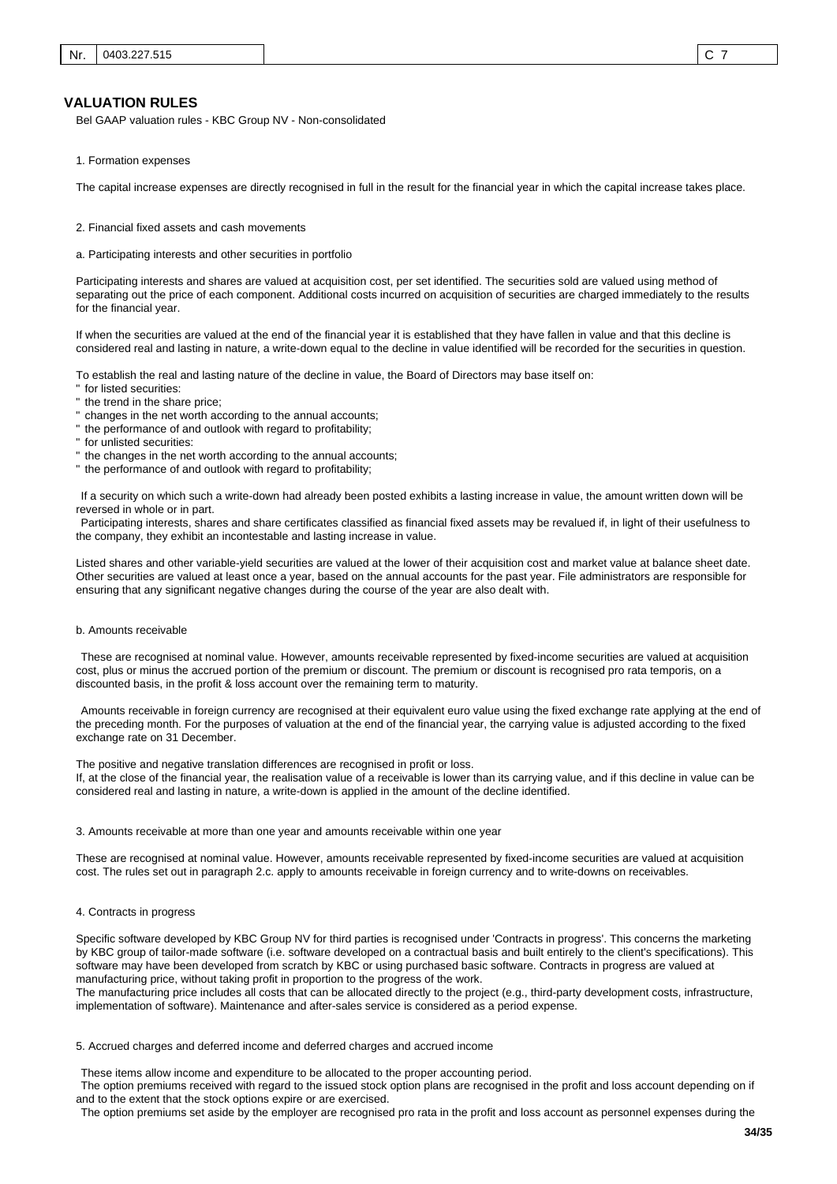#### **VALUATION RULES**

Bel GAAP valuation rules - KBC Group NV - Non-consolidated

1. Formation expenses

The capital increase expenses are directly recognised in full in the result for the financial year in which the capital increase takes place.

- 2. Financial fixed assets and cash movements
- a. Participating interests and other securities in portfolio

Participating interests and shares are valued at acquisition cost, per set identified. The securities sold are valued using method of separating out the price of each component. Additional costs incurred on acquisition of securities are charged immediately to the results for the financial year.

If when the securities are valued at the end of the financial year it is established that they have fallen in value and that this decline is considered real and lasting in nature, a write-down equal to the decline in value identified will be recorded for the securities in question.

To establish the real and lasting nature of the decline in value, the Board of Directors may base itself on:

- for listed securities:
- the trend in the share price;
- " changes in the net worth according to the annual accounts;
- " the performance of and outlook with regard to profitability;
- for unlisted securities:
- " the changes in the net worth according to the annual accounts;
- " the performance of and outlook with regard to profitability;

 If a security on which such a write-down had already been posted exhibits a lasting increase in value, the amount written down will be reversed in whole or in part.

 Participating interests, shares and share certificates classified as financial fixed assets may be revalued if, in light of their usefulness to the company, they exhibit an incontestable and lasting increase in value.

Listed shares and other variable-yield securities are valued at the lower of their acquisition cost and market value at balance sheet date. Other securities are valued at least once a year, based on the annual accounts for the past year. File administrators are responsible for ensuring that any significant negative changes during the course of the year are also dealt with.

#### b. Amounts receivable

 These are recognised at nominal value. However, amounts receivable represented by fixed-income securities are valued at acquisition cost, plus or minus the accrued portion of the premium or discount. The premium or discount is recognised pro rata temporis, on a discounted basis, in the profit & loss account over the remaining term to maturity.

 Amounts receivable in foreign currency are recognised at their equivalent euro value using the fixed exchange rate applying at the end of the preceding month. For the purposes of valuation at the end of the financial year, the carrying value is adjusted according to the fixed exchange rate on 31 December.

The positive and negative translation differences are recognised in profit or loss. If, at the close of the financial year, the realisation value of a receivable is lower than its carrying value, and if this decline in value can be considered real and lasting in nature, a write-down is applied in the amount of the decline identified.

#### 3. Amounts receivable at more than one year and amounts receivable within one year

These are recognised at nominal value. However, amounts receivable represented by fixed-income securities are valued at acquisition cost. The rules set out in paragraph 2.c. apply to amounts receivable in foreign currency and to write-downs on receivables.

#### 4. Contracts in progress

Specific software developed by KBC Group NV for third parties is recognised under 'Contracts in progress'. This concerns the marketing by KBC group of tailor-made software (i.e. software developed on a contractual basis and built entirely to the client's specifications). This software may have been developed from scratch by KBC or using purchased basic software. Contracts in progress are valued at manufacturing price, without taking profit in proportion to the progress of the work.

The manufacturing price includes all costs that can be allocated directly to the project (e.g., third-party development costs, infrastructure, implementation of software). Maintenance and after-sales service is considered as a period expense.

#### 5. Accrued charges and deferred income and deferred charges and accrued income

 These items allow income and expenditure to be allocated to the proper accounting period.

 The option premiums received with regard to the issued stock option plans are recognised in the profit and loss account depending on if and to the extent that the stock options expire or are exercised.

 The option premiums set aside by the employer are recognised pro rata in the profit and loss account as personnel expenses during the